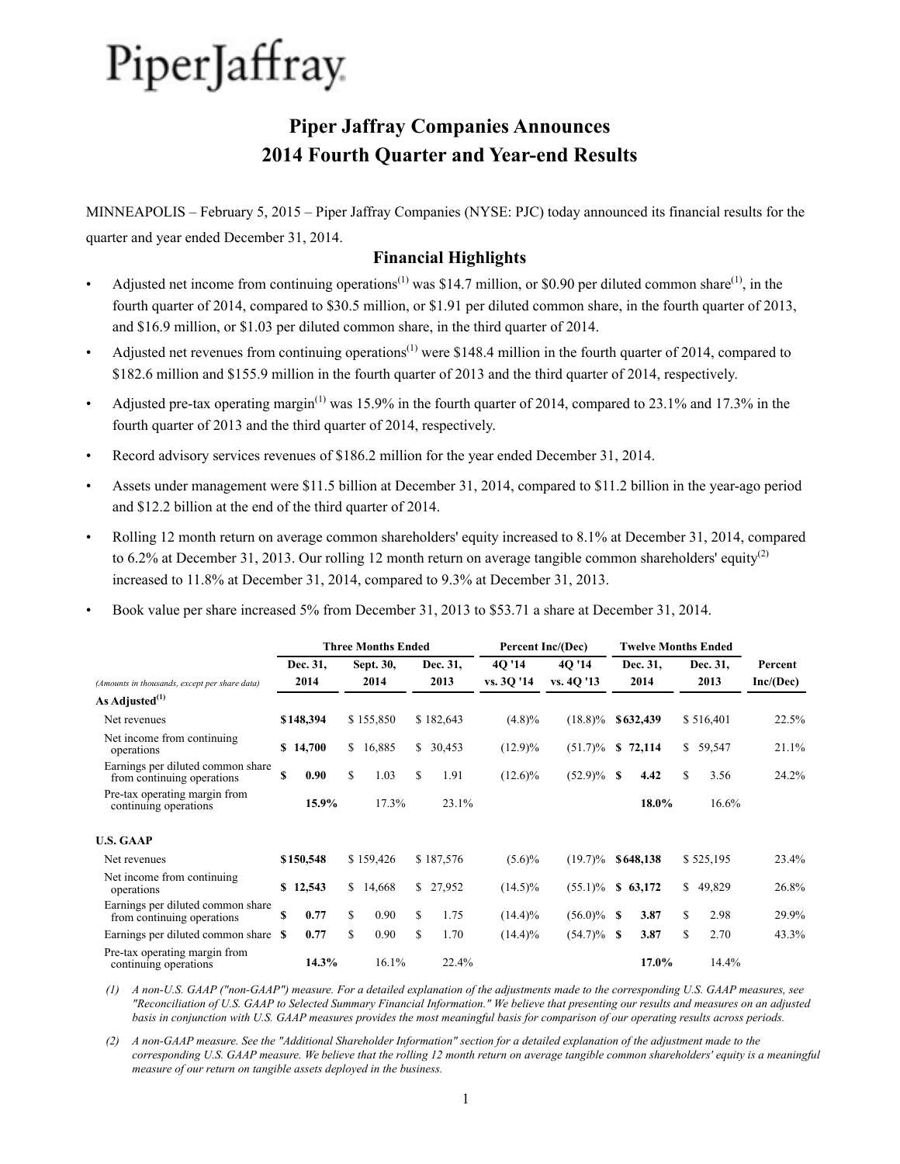# **Piper Jaffray Companies Announces 2014 Fourth Quarter and Year-end Results**

MINNEAPOLIS – February 5, 2015 – Piper Jaffray Companies (NYSE: PJC) today announced its financial results for the quarter and year ended December 31, 2014.

# **Financial Highlights**

- Adjusted net income from continuing operations<sup>(1)</sup> was \$14.7 million, or \$0.90 per diluted common share<sup>(1)</sup>, in the fourth quarter of 2014, compared to \$30.5 million, or \$1.91 per diluted common share, in the fourth quarter of 2013, and \$16.9 million, or \$1.03 per diluted common share, in the third quarter of 2014.
- Adjusted net revenues from continuing operations<sup> $(1)$ </sup> were \$148.4 million in the fourth quarter of 2014, compared to \$182.6 million and \$155.9 million in the fourth quarter of 2013 and the third quarter of 2014, respectively.
- Adjusted pre-tax operating margin<sup>(1)</sup> was 15.9% in the fourth quarter of 2014, compared to 23.1% and 17.3% in the fourth quarter of 2013 and the third quarter of 2014, respectively.
- Record advisory services revenues of \$186.2 million for the year ended December 31, 2014.
- Assets under management were \$11.5 billion at December 31, 2014, compared to \$11.2 billion in the year-ago period and \$12.2 billion at the end of the third quarter of 2014.
- Rolling 12 month return on average common shareholders' equity increased to 8.1% at December 31, 2014, compared to 6.2% at December 31, 2013. Our rolling 12 month return on average tangible common shareholders' equity<sup>(2)</sup> increased to 11.8% at December 31, 2014, compared to 9.3% at December 31, 2013.
- Book value per share increased 5% from December 31, 2013 to \$53.71 a share at December 31, 2014.

|                                                                 |     |           |    | <b>Three Months Ended</b> |            |            | Percent Inc/(Dec) |      | <b>Twelve Months Ended</b> |      |           |           |
|-----------------------------------------------------------------|-----|-----------|----|---------------------------|------------|------------|-------------------|------|----------------------------|------|-----------|-----------|
|                                                                 |     | Dec. 31,  |    | Sept. 30,                 | Dec. 31,   | 40'14      | 40'14             |      | Dec. 31,                   |      | Dec. 31,  | Percent   |
| (Amounts in thousands, except per share data)                   |     | 2014      |    | 2014                      | 2013       | vs. 30 '14 | vs. 40 '13        | 2014 |                            | 2013 |           | Inc/(Dec) |
| As Adjusted <sup>(1)</sup>                                      |     |           |    |                           |            |            |                   |      |                            |      |           |           |
| Net revenues                                                    |     | \$148,394 |    | \$155,850                 | \$182,643  | $(4.8)\%$  | $(18.8)\%$        |      | \$632,439                  |      | \$516,401 | 22.5%     |
| Net income from continuing<br>operations                        |     | \$14,700  |    | \$16,885                  | \$30,453   | $(12.9)\%$ | $(51.7)\%$        | S    | 72,114                     |      | \$59,547  | 21.1%     |
| Earnings per diluted common share<br>from continuing operations | S   | 0.90      | S. | 1.03                      | \$<br>1.91 | $(12.6)\%$ | $(52.9)\%$ \$     |      | 4.42                       | \$   | 3.56      | 24.2%     |
| Pre-tax operating margin from<br>continuing operations          |     | 15.9%     |    | 17.3%                     | 23.1%      |            |                   |      | 18.0%                      |      | 16.6%     |           |
| <b>U.S. GAAP</b>                                                |     |           |    |                           |            |            |                   |      |                            |      |           |           |
| Net revenues                                                    |     | \$150,548 |    | \$159,426                 | \$187,576  | $(5.6)\%$  | $(19.7)\%$        |      | \$648,138                  |      | \$525,195 | 23.4%     |
| Net income from continuing.<br>operations                       |     | \$12,543  | S. | 14,668                    | \$27,952   | $(14.5)\%$ | $(55.1)\%$        | S.   | 63,172                     | \$   | 49,829    | 26.8%     |
| Earnings per diluted common share<br>from continuing operations | \$. | 0.77      | \$ | 0.90                      | \$<br>1.75 | $(14.4)\%$ | $(56.0)\%$ \$     |      | 3.87                       | \$   | 2.98      | 29.9%     |
| Earnings per diluted common share                               | -S  | 0.77      | \$ | 0.90                      | \$<br>1.70 | $(14.4)\%$ | $(54.7)\%$ \$     |      | 3.87                       | \$   | 2.70      | 43.3%     |
| Pre-tax operating margin from<br>continuing operations          |     | 14.3%     |    | 16.1%                     | 22.4%      |            |                   |      | 17.0%                      |      | 14.4%     |           |

*(1) A non-U.S. GAAP ("non-GAAP") measure. For a detailed explanation of the adjustments made to the corresponding U.S. GAAP measures, see "Reconciliation of U.S. GAAP to Selected Summary Financial Information." We believe that presenting our results and measures on an adjusted basis in conjunction with U.S. GAAP measures provides the most meaningful basis for comparison of our operating results across periods.* 

*(2) A non-GAAP measure. See the "Additional Shareholder Information" section for a detailed explanation of the adjustment made to the corresponding U.S. GAAP measure. We believe that the rolling 12 month return on average tangible common shareholders' equity is a meaningful measure of our return on tangible assets deployed in the business.*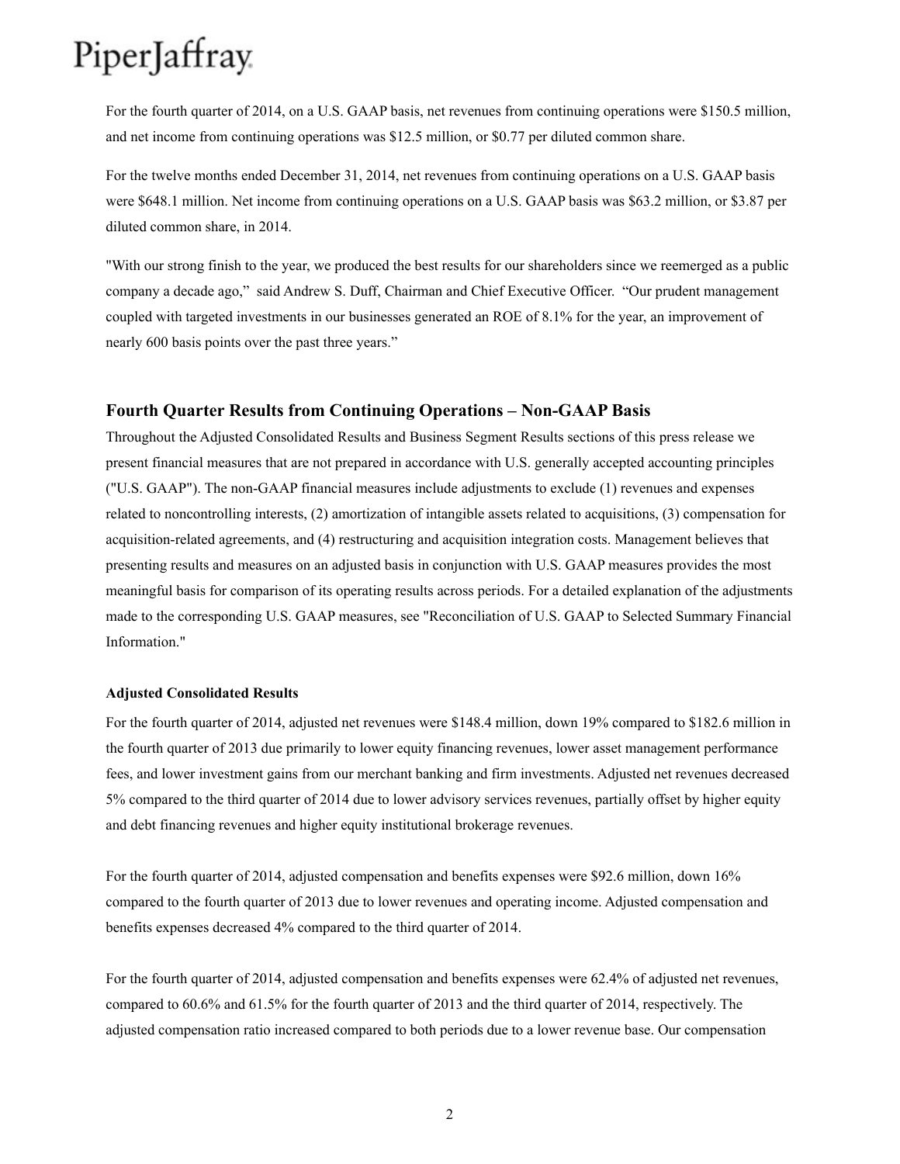For the fourth quarter of 2014, on a U.S. GAAP basis, net revenues from continuing operations were \$150.5 million, and net income from continuing operations was \$12.5 million, or \$0.77 per diluted common share.

For the twelve months ended December 31, 2014, net revenues from continuing operations on a U.S. GAAP basis were \$648.1 million. Net income from continuing operations on a U.S. GAAP basis was \$63.2 million, or \$3.87 per diluted common share, in 2014.

"With our strong finish to the year, we produced the best results for our shareholders since we reemerged as a public company a decade ago," said Andrew S. Duff, Chairman and Chief Executive Officer. "Our prudent management coupled with targeted investments in our businesses generated an ROE of 8.1% for the year, an improvement of nearly 600 basis points over the past three years."

### **Fourth Quarter Results from Continuing Operations – Non-GAAP Basis**

Throughout the Adjusted Consolidated Results and Business Segment Results sections of this press release we present financial measures that are not prepared in accordance with U.S. generally accepted accounting principles ("U.S. GAAP"). The non-GAAP financial measures include adjustments to exclude (1) revenues and expenses related to noncontrolling interests, (2) amortization of intangible assets related to acquisitions, (3) compensation for acquisition-related agreements, and (4) restructuring and acquisition integration costs. Management believes that presenting results and measures on an adjusted basis in conjunction with U.S. GAAP measures provides the most meaningful basis for comparison of its operating results across periods. For a detailed explanation of the adjustments made to the corresponding U.S. GAAP measures, see "Reconciliation of U.S. GAAP to Selected Summary Financial Information."

#### **Adjusted Consolidated Results**

For the fourth quarter of 2014, adjusted net revenues were \$148.4 million, down 19% compared to \$182.6 million in the fourth quarter of 2013 due primarily to lower equity financing revenues, lower asset management performance fees, and lower investment gains from our merchant banking and firm investments. Adjusted net revenues decreased 5% compared to the third quarter of 2014 due to lower advisory services revenues, partially offset by higher equity and debt financing revenues and higher equity institutional brokerage revenues.

For the fourth quarter of 2014, adjusted compensation and benefits expenses were \$92.6 million, down 16% compared to the fourth quarter of 2013 due to lower revenues and operating income. Adjusted compensation and benefits expenses decreased 4% compared to the third quarter of 2014.

For the fourth quarter of 2014, adjusted compensation and benefits expenses were 62.4% of adjusted net revenues, compared to 60.6% and 61.5% for the fourth quarter of 2013 and the third quarter of 2014, respectively. The adjusted compensation ratio increased compared to both periods due to a lower revenue base. Our compensation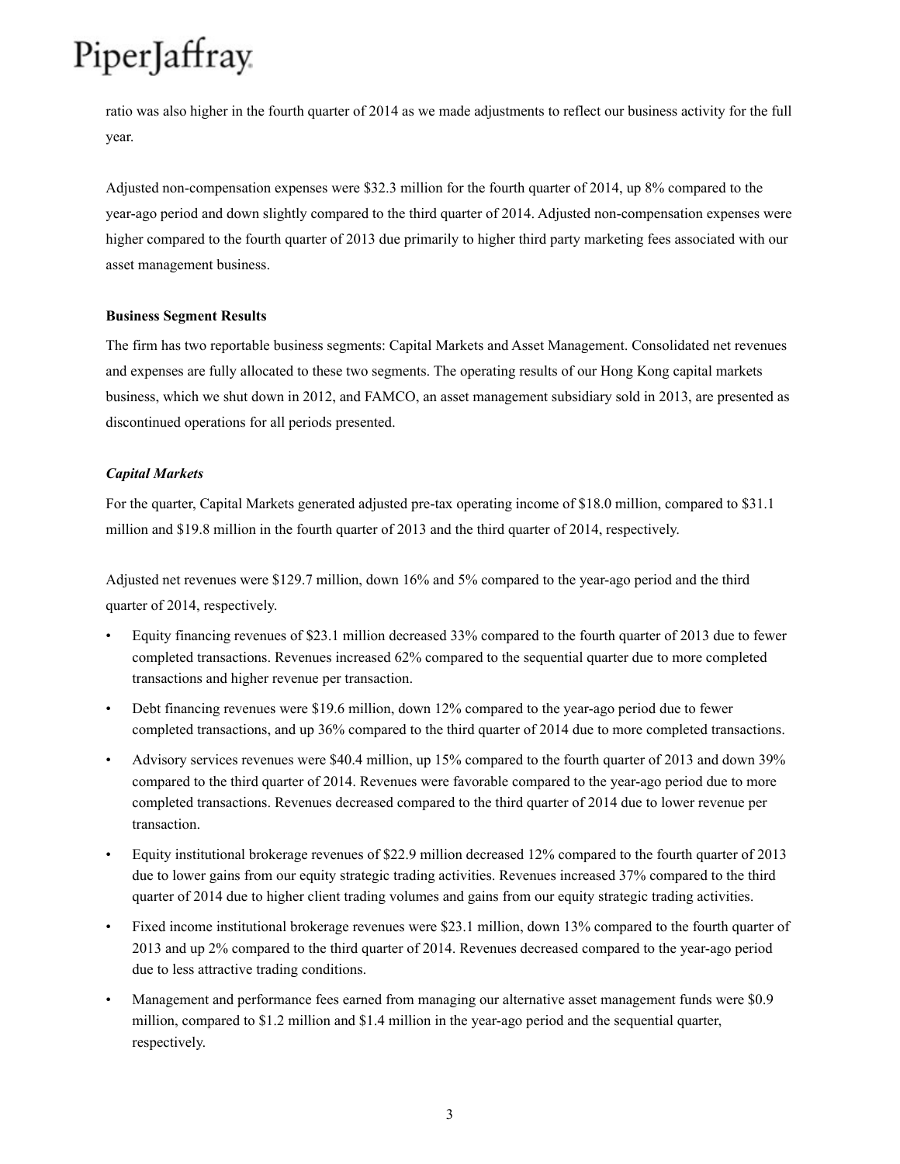ratio was also higher in the fourth quarter of 2014 as we made adjustments to reflect our business activity for the full year.

Adjusted non-compensation expenses were \$32.3 million for the fourth quarter of 2014, up 8% compared to the year-ago period and down slightly compared to the third quarter of 2014. Adjusted non-compensation expenses were higher compared to the fourth quarter of 2013 due primarily to higher third party marketing fees associated with our asset management business.

### **Business Segment Results**

The firm has two reportable business segments: Capital Markets and Asset Management. Consolidated net revenues and expenses are fully allocated to these two segments. The operating results of our Hong Kong capital markets business, which we shut down in 2012, and FAMCO, an asset management subsidiary sold in 2013, are presented as discontinued operations for all periods presented.

### *Capital Markets*

For the quarter, Capital Markets generated adjusted pre-tax operating income of \$18.0 million, compared to \$31.1 million and \$19.8 million in the fourth quarter of 2013 and the third quarter of 2014, respectively.

Adjusted net revenues were \$129.7 million, down 16% and 5% compared to the year-ago period and the third quarter of 2014, respectively.

- Equity financing revenues of \$23.1 million decreased 33% compared to the fourth quarter of 2013 due to fewer completed transactions. Revenues increased 62% compared to the sequential quarter due to more completed transactions and higher revenue per transaction.
- Debt financing revenues were \$19.6 million, down 12% compared to the year-ago period due to fewer completed transactions, and up 36% compared to the third quarter of 2014 due to more completed transactions.
- Advisory services revenues were \$40.4 million, up 15% compared to the fourth quarter of 2013 and down 39% compared to the third quarter of 2014. Revenues were favorable compared to the year-ago period due to more completed transactions. Revenues decreased compared to the third quarter of 2014 due to lower revenue per transaction.
- Equity institutional brokerage revenues of \$22.9 million decreased 12% compared to the fourth quarter of 2013 due to lower gains from our equity strategic trading activities. Revenues increased 37% compared to the third quarter of 2014 due to higher client trading volumes and gains from our equity strategic trading activities.
- Fixed income institutional brokerage revenues were \$23.1 million, down 13% compared to the fourth quarter of 2013 and up 2% compared to the third quarter of 2014. Revenues decreased compared to the year-ago period due to less attractive trading conditions.
- Management and performance fees earned from managing our alternative asset management funds were \$0.9 million, compared to \$1.2 million and \$1.4 million in the year-ago period and the sequential quarter, respectively.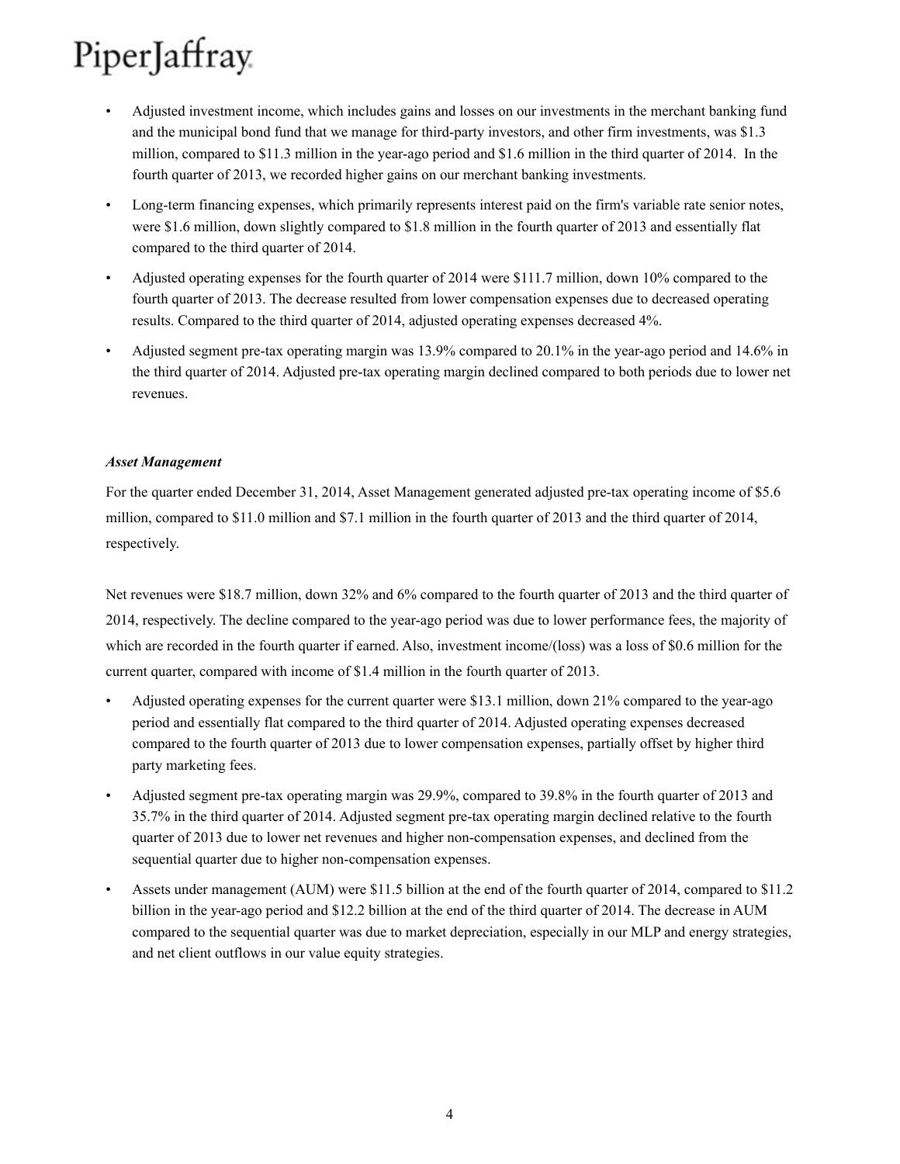- Adjusted investment income, which includes gains and losses on our investments in the merchant banking fund and the municipal bond fund that we manage for third-party investors, and other firm investments, was \$1.3 million, compared to \$11.3 million in the year-ago period and \$1.6 million in the third quarter of 2014. In the fourth quarter of 2013, we recorded higher gains on our merchant banking investments.
- Long-term financing expenses, which primarily represents interest paid on the firm's variable rate senior notes, were \$1.6 million, down slightly compared to \$1.8 million in the fourth quarter of 2013 and essentially flat compared to the third quarter of 2014.
- Adjusted operating expenses for the fourth quarter of 2014 were \$111.7 million, down 10% compared to the fourth quarter of 2013. The decrease resulted from lower compensation expenses due to decreased operating results. Compared to the third quarter of 2014, adjusted operating expenses decreased 4%.
- Adjusted segment pre-tax operating margin was 13.9% compared to 20.1% in the year-ago period and 14.6% in the third quarter of 2014. Adjusted pre-tax operating margin declined compared to both periods due to lower net revenues.

### *Asset Management*

For the quarter ended December 31, 2014, Asset Management generated adjusted pre-tax operating income of \$5.6 million, compared to \$11.0 million and \$7.1 million in the fourth quarter of 2013 and the third quarter of 2014, respectively.

Net revenues were \$18.7 million, down 32% and 6% compared to the fourth quarter of 2013 and the third quarter of 2014, respectively. The decline compared to the year-ago period was due to lower performance fees, the majority of which are recorded in the fourth quarter if earned. Also, investment income/(loss) was a loss of \$0.6 million for the current quarter, compared with income of \$1.4 million in the fourth quarter of 2013.

- Adjusted operating expenses for the current quarter were \$13.1 million, down 21% compared to the year-ago period and essentially flat compared to the third quarter of 2014. Adjusted operating expenses decreased compared to the fourth quarter of 2013 due to lower compensation expenses, partially offset by higher third party marketing fees.
- Adjusted segment pre-tax operating margin was 29.9%, compared to 39.8% in the fourth quarter of 2013 and 35.7% in the third quarter of 2014. Adjusted segment pre-tax operating margin declined relative to the fourth quarter of 2013 due to lower net revenues and higher non-compensation expenses, and declined from the sequential quarter due to higher non-compensation expenses.
- Assets under management (AUM) were \$11.5 billion at the end of the fourth quarter of 2014, compared to \$11.2 billion in the year-ago period and \$12.2 billion at the end of the third quarter of 2014. The decrease in AUM compared to the sequential quarter was due to market depreciation, especially in our MLP and energy strategies, and net client outflows in our value equity strategies.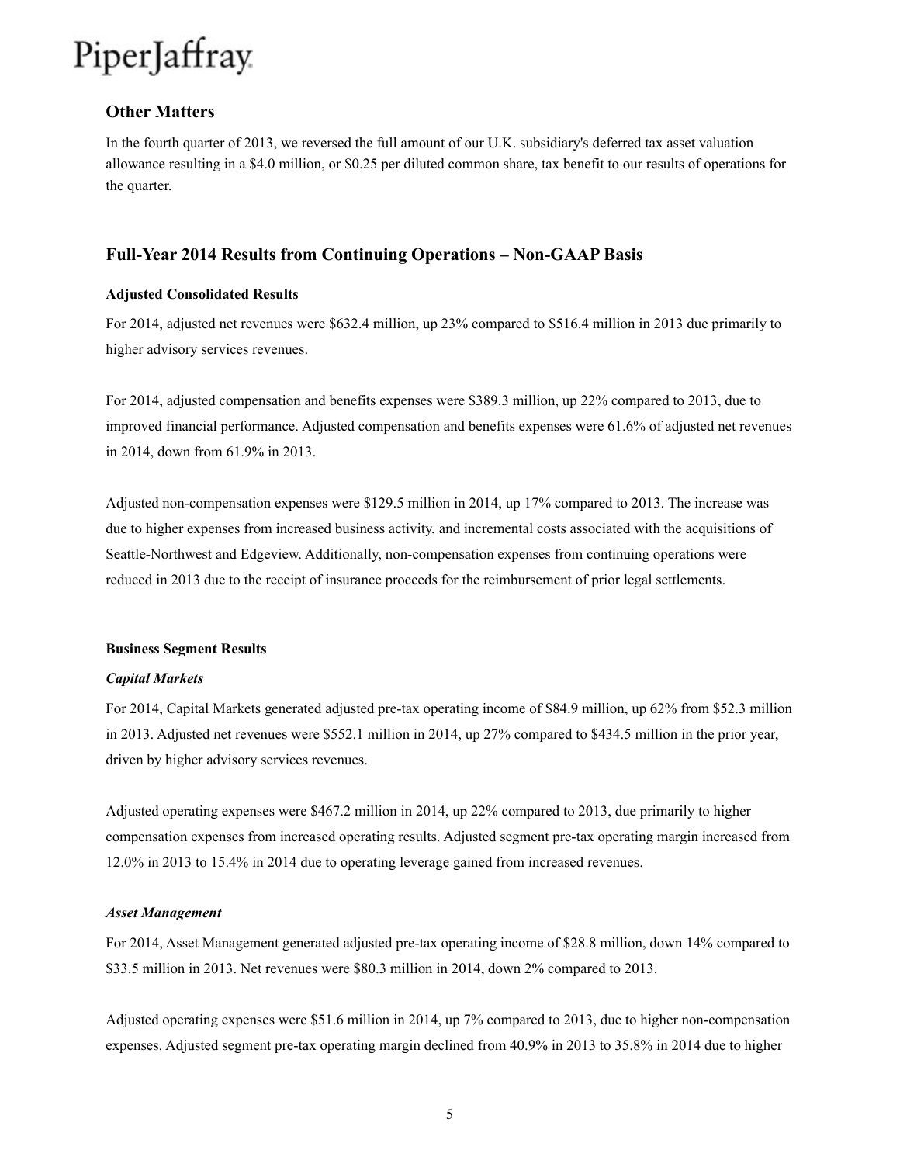### **Other Matters**

In the fourth quarter of 2013, we reversed the full amount of our U.K. subsidiary's deferred tax asset valuation allowance resulting in a \$4.0 million, or \$0.25 per diluted common share, tax benefit to our results of operations for the quarter.

### **Full-Year 2014 Results from Continuing Operations – Non-GAAP Basis**

### **Adjusted Consolidated Results**

For 2014, adjusted net revenues were \$632.4 million, up 23% compared to \$516.4 million in 2013 due primarily to higher advisory services revenues.

For 2014, adjusted compensation and benefits expenses were \$389.3 million, up 22% compared to 2013, due to improved financial performance. Adjusted compensation and benefits expenses were 61.6% of adjusted net revenues in 2014, down from 61.9% in 2013.

Adjusted non-compensation expenses were \$129.5 million in 2014, up 17% compared to 2013. The increase was due to higher expenses from increased business activity, and incremental costs associated with the acquisitions of Seattle-Northwest and Edgeview. Additionally, non-compensation expenses from continuing operations were reduced in 2013 due to the receipt of insurance proceeds for the reimbursement of prior legal settlements.

#### **Business Segment Results**

#### *Capital Markets*

For 2014, Capital Markets generated adjusted pre-tax operating income of \$84.9 million, up 62% from \$52.3 million in 2013. Adjusted net revenues were \$552.1 million in 2014, up 27% compared to \$434.5 million in the prior year, driven by higher advisory services revenues.

Adjusted operating expenses were \$467.2 million in 2014, up 22% compared to 2013, due primarily to higher compensation expenses from increased operating results. Adjusted segment pre-tax operating margin increased from 12.0% in 2013 to 15.4% in 2014 due to operating leverage gained from increased revenues.

#### *Asset Management*

For 2014, Asset Management generated adjusted pre-tax operating income of \$28.8 million, down 14% compared to \$33.5 million in 2013. Net revenues were \$80.3 million in 2014, down 2% compared to 2013.

Adjusted operating expenses were \$51.6 million in 2014, up 7% compared to 2013, due to higher non-compensation expenses. Adjusted segment pre-tax operating margin declined from 40.9% in 2013 to 35.8% in 2014 due to higher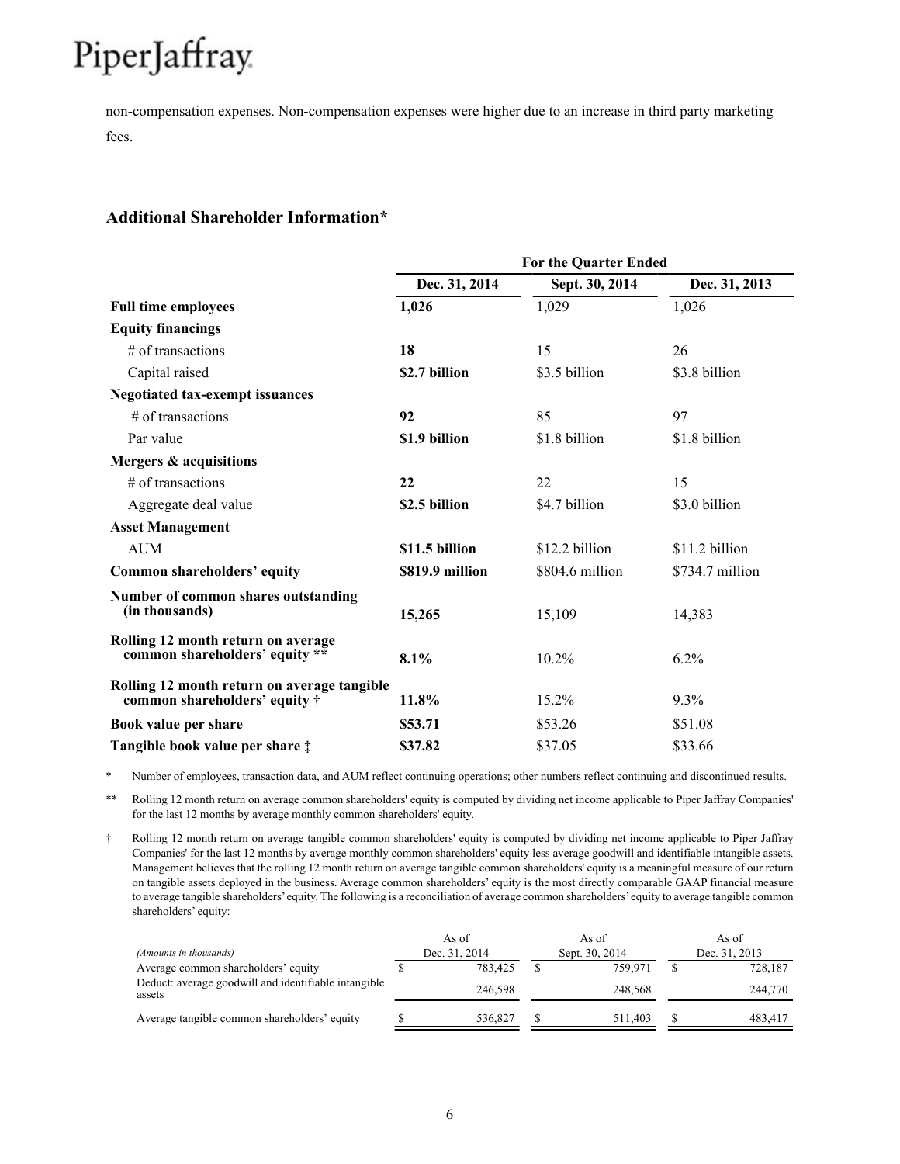non-compensation expenses. Non-compensation expenses were higher due to an increase in third party marketing fees.

## **Additional Shareholder Information\***

|                                                                                      | <b>For the Quarter Ended</b> |                 |                 |  |  |  |  |  |  |  |  |
|--------------------------------------------------------------------------------------|------------------------------|-----------------|-----------------|--|--|--|--|--|--|--|--|
|                                                                                      | Dec. 31, 2014                | Sept. 30, 2014  | Dec. 31, 2013   |  |  |  |  |  |  |  |  |
| <b>Full time employees</b>                                                           | 1,026                        | 1,029           | 1,026           |  |  |  |  |  |  |  |  |
| <b>Equity financings</b>                                                             |                              |                 |                 |  |  |  |  |  |  |  |  |
| # of transactions                                                                    | 18                           | 15              | 26              |  |  |  |  |  |  |  |  |
| Capital raised                                                                       | \$2.7 billion                | \$3.5 billion   | \$3.8 billion   |  |  |  |  |  |  |  |  |
| <b>Negotiated tax-exempt issuances</b>                                               |                              |                 |                 |  |  |  |  |  |  |  |  |
| $#$ of transactions                                                                  | 92                           | 85              | 97              |  |  |  |  |  |  |  |  |
| Par value                                                                            | \$1.9 billion                | \$1.8 billion   | \$1.8 billion   |  |  |  |  |  |  |  |  |
| Mergers & acquisitions                                                               |                              |                 |                 |  |  |  |  |  |  |  |  |
| # of transactions                                                                    | 22                           | 22              | 15              |  |  |  |  |  |  |  |  |
| Aggregate deal value                                                                 | \$2.5 billion                | \$4.7 billion   | \$3.0 billion   |  |  |  |  |  |  |  |  |
| <b>Asset Management</b>                                                              |                              |                 |                 |  |  |  |  |  |  |  |  |
| <b>AUM</b>                                                                           | \$11.5 billion               | \$12.2 billion  | \$11.2 billion  |  |  |  |  |  |  |  |  |
| Common shareholders' equity                                                          | \$819.9 million              | \$804.6 million | \$734.7 million |  |  |  |  |  |  |  |  |
| Number of common shares outstanding<br>(in thousands)                                | 15,265                       | 15,109          | 14,383          |  |  |  |  |  |  |  |  |
| Rolling 12 month return on average<br>common shareholders' equity **                 | 8.1%                         | $10.2\%$        | $6.2\%$         |  |  |  |  |  |  |  |  |
| Rolling 12 month return on average tangible<br>common shareholders' equity $\dagger$ | 11.8%                        | 15.2%           | 9.3%            |  |  |  |  |  |  |  |  |
| Book value per share                                                                 | \$53.71                      | \$53.26         | \$51.08         |  |  |  |  |  |  |  |  |
| Tangible book value per share $\ddagger$                                             | \$37.82                      | \$37.05         | \$33.66         |  |  |  |  |  |  |  |  |

Number of employees, transaction data, and AUM reflect continuing operations; other numbers reflect continuing and discontinued results.

\*\* Rolling 12 month return on average common shareholders' equity is computed by dividing net income applicable to Piper Jaffray Companies' for the last 12 months by average monthly common shareholders' equity.

† Rolling 12 month return on average tangible common shareholders' equity is computed by dividing net income applicable to Piper Jaffray Companies' for the last 12 months by average monthly common shareholders' equity less average goodwill and identifiable intangible assets. Management believes that the rolling 12 month return on average tangible common shareholders' equity is a meaningful measure of our return on tangible assets deployed in the business. Average common shareholders' equity is the most directly comparable GAAP financial measure to average tangible shareholders'equity. The following is a reconciliation of average common shareholders'equity to average tangible common shareholders' equity:

|                                                                |  | As of         |                | As of   |  | As of         |
|----------------------------------------------------------------|--|---------------|----------------|---------|--|---------------|
| (Amounts in thousands)                                         |  | Dec. 31, 2014 | Sept. 30, 2014 |         |  | Dec. 31, 2013 |
| Average common shareholders' equity                            |  | 783.425       |                | 759.971 |  | 728,187       |
| Deduct: average goodwill and identifiable intangible<br>assets |  | 246.598       |                | 248.568 |  | 244,770       |
| Average tangible common shareholders' equity                   |  | 536.827       |                | 511.403 |  | 483.417       |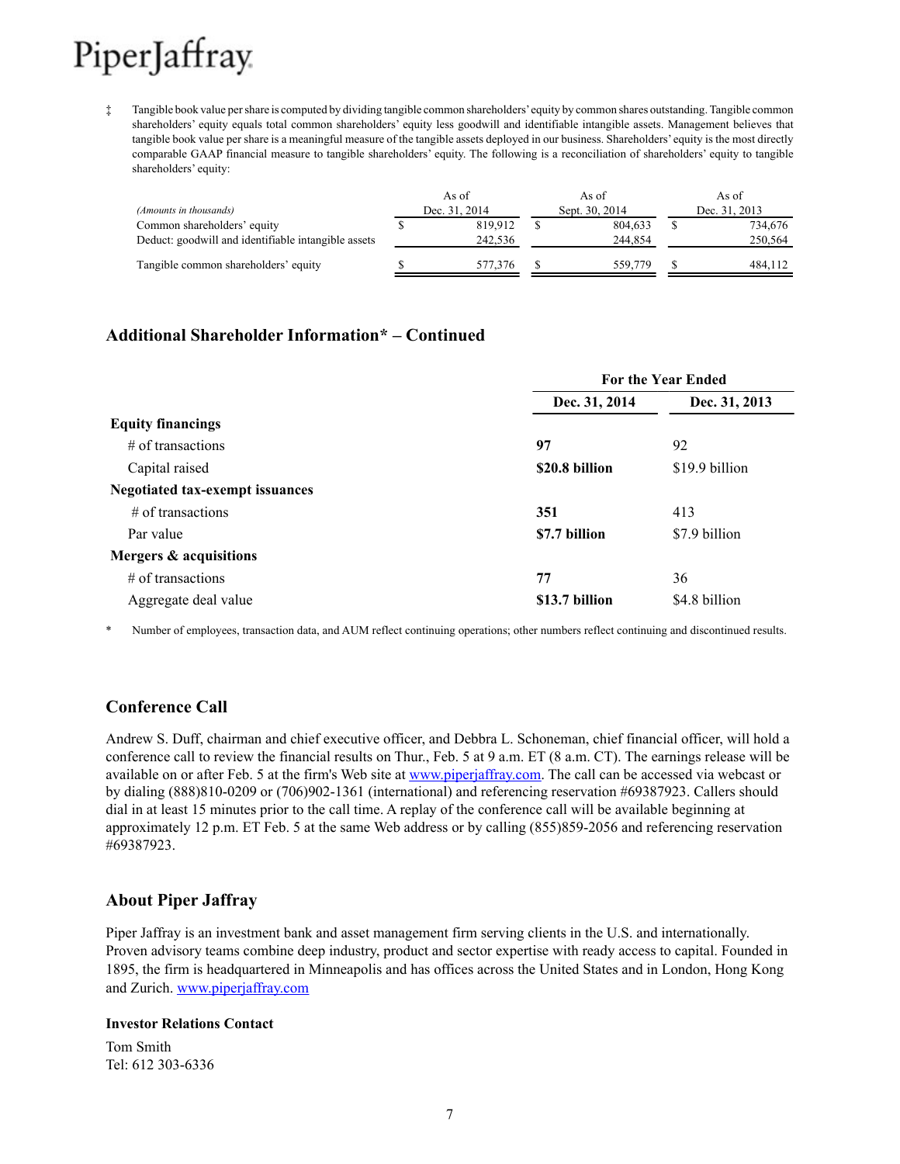‡ Tangible book value per share is computed by dividing tangible common shareholders'equity by common shares outstanding. Tangible common shareholders' equity equals total common shareholders' equity less goodwill and identifiable intangible assets. Management believes that tangible book value per share is a meaningful measure of the tangible assets deployed in our business. Shareholders' equity is the most directly comparable GAAP financial measure to tangible shareholders' equity. The following is a reconciliation of shareholders' equity to tangible shareholders' equity:

|                                                     | As of         | As of          | As of         |
|-----------------------------------------------------|---------------|----------------|---------------|
| (Amounts in thousands)                              | Dec. 31, 2014 | Sept. 30, 2014 | Dec. 31, 2013 |
| Common shareholders' equity                         | 819.912       | 804.633        | 734,676       |
| Deduct: goodwill and identifiable intangible assets | 242.536       | 244.854        | 250.564       |
| Tangible common shareholders' equity                | 577,376       | 559,779        | 484.112       |

# **Additional Shareholder Information\* – Continued**

|                                 |                | <b>For the Year Ended</b><br>Dec. 31, 2013<br>92<br>\$19.9 billion<br>413<br>\$7.9 billion<br>36 |  |
|---------------------------------|----------------|--------------------------------------------------------------------------------------------------|--|
|                                 | Dec. 31, 2014  |                                                                                                  |  |
| <b>Equity financings</b>        |                |                                                                                                  |  |
| $#$ of transactions             | 97             |                                                                                                  |  |
| Capital raised                  | \$20.8 billion |                                                                                                  |  |
| Negotiated tax-exempt issuances |                |                                                                                                  |  |
| $\#$ of transactions            | 351            |                                                                                                  |  |
| Par value                       | \$7.7 billion  |                                                                                                  |  |
| Mergers & acquisitions          |                |                                                                                                  |  |
| $\#$ of transactions            | 77             |                                                                                                  |  |
| Aggregate deal value            | \$13.7 billion | \$4.8 billion                                                                                    |  |

Number of employees, transaction data, and AUM reflect continuing operations; other numbers reflect continuing and discontinued results.

# **Conference Call**

Andrew S. Duff, chairman and chief executive officer, and Debbra L. Schoneman, chief financial officer, will hold a conference call to review the financial results on Thur., Feb. 5 at 9 a.m. ET (8 a.m. CT). The earnings release will be available on or after Feb. 5 at the firm's Web site at www.piperjaffray.com. The call can be accessed via webcast or by dialing (888)810-0209 or (706)902-1361 (international) and referencing reservation #69387923. Callers should dial in at least 15 minutes prior to the call time. A replay of the conference call will be available beginning at approximately 12 p.m. ET Feb. 5 at the same Web address or by calling (855)859-2056 and referencing reservation #69387923.

### **About Piper Jaffray**

Piper Jaffray is an investment bank and asset management firm serving clients in the U.S. and internationally. Proven advisory teams combine deep industry, product and sector expertise with ready access to capital. Founded in 1895, the firm is headquartered in Minneapolis and has offices across the United States and in London, Hong Kong and Zurich. www.piperjaffray.com

### **Investor Relations Contact**

Tom Smith Tel: 612 303-6336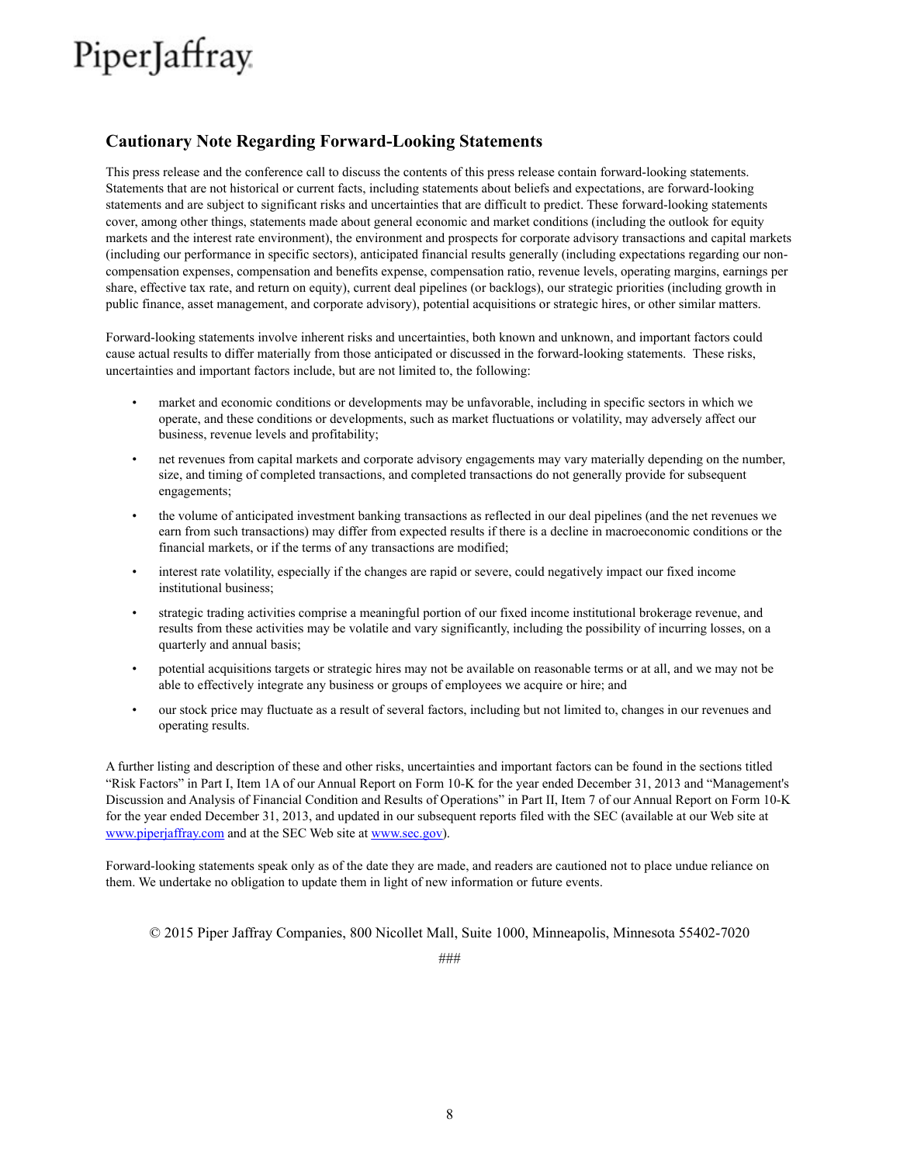# **Cautionary Note Regarding Forward-Looking Statements**

This press release and the conference call to discuss the contents of this press release contain forward-looking statements. Statements that are not historical or current facts, including statements about beliefs and expectations, are forward-looking statements and are subject to significant risks and uncertainties that are difficult to predict. These forward-looking statements cover, among other things, statements made about general economic and market conditions (including the outlook for equity markets and the interest rate environment), the environment and prospects for corporate advisory transactions and capital markets (including our performance in specific sectors), anticipated financial results generally (including expectations regarding our noncompensation expenses, compensation and benefits expense, compensation ratio, revenue levels, operating margins, earnings per share, effective tax rate, and return on equity), current deal pipelines (or backlogs), our strategic priorities (including growth in public finance, asset management, and corporate advisory), potential acquisitions or strategic hires, or other similar matters.

Forward-looking statements involve inherent risks and uncertainties, both known and unknown, and important factors could cause actual results to differ materially from those anticipated or discussed in the forward-looking statements. These risks, uncertainties and important factors include, but are not limited to, the following:

- market and economic conditions or developments may be unfavorable, including in specific sectors in which we operate, and these conditions or developments, such as market fluctuations or volatility, may adversely affect our business, revenue levels and profitability;
- net revenues from capital markets and corporate advisory engagements may vary materially depending on the number, size, and timing of completed transactions, and completed transactions do not generally provide for subsequent engagements;
- the volume of anticipated investment banking transactions as reflected in our deal pipelines (and the net revenues we earn from such transactions) may differ from expected results if there is a decline in macroeconomic conditions or the financial markets, or if the terms of any transactions are modified;
- interest rate volatility, especially if the changes are rapid or severe, could negatively impact our fixed income institutional business;
- strategic trading activities comprise a meaningful portion of our fixed income institutional brokerage revenue, and results from these activities may be volatile and vary significantly, including the possibility of incurring losses, on a quarterly and annual basis;
- potential acquisitions targets or strategic hires may not be available on reasonable terms or at all, and we may not be able to effectively integrate any business or groups of employees we acquire or hire; and
- our stock price may fluctuate as a result of several factors, including but not limited to, changes in our revenues and operating results.

A further listing and description of these and other risks, uncertainties and important factors can be found in the sections titled "Risk Factors" in Part I, Item 1A of our Annual Report on Form 10-K for the year ended December 31, 2013 and "Management's Discussion and Analysis of Financial Condition and Results of Operations" in Part II, Item 7 of our Annual Report on Form 10-K for the year ended December 31, 2013, and updated in our subsequent reports filed with the SEC (available at our Web site at www.piperjaffray.com and at the SEC Web site at www.sec.gov).

Forward-looking statements speak only as of the date they are made, and readers are cautioned not to place undue reliance on them. We undertake no obligation to update them in light of new information or future events.

© 2015 Piper Jaffray Companies, 800 Nicollet Mall, Suite 1000, Minneapolis, Minnesota 55402-7020

###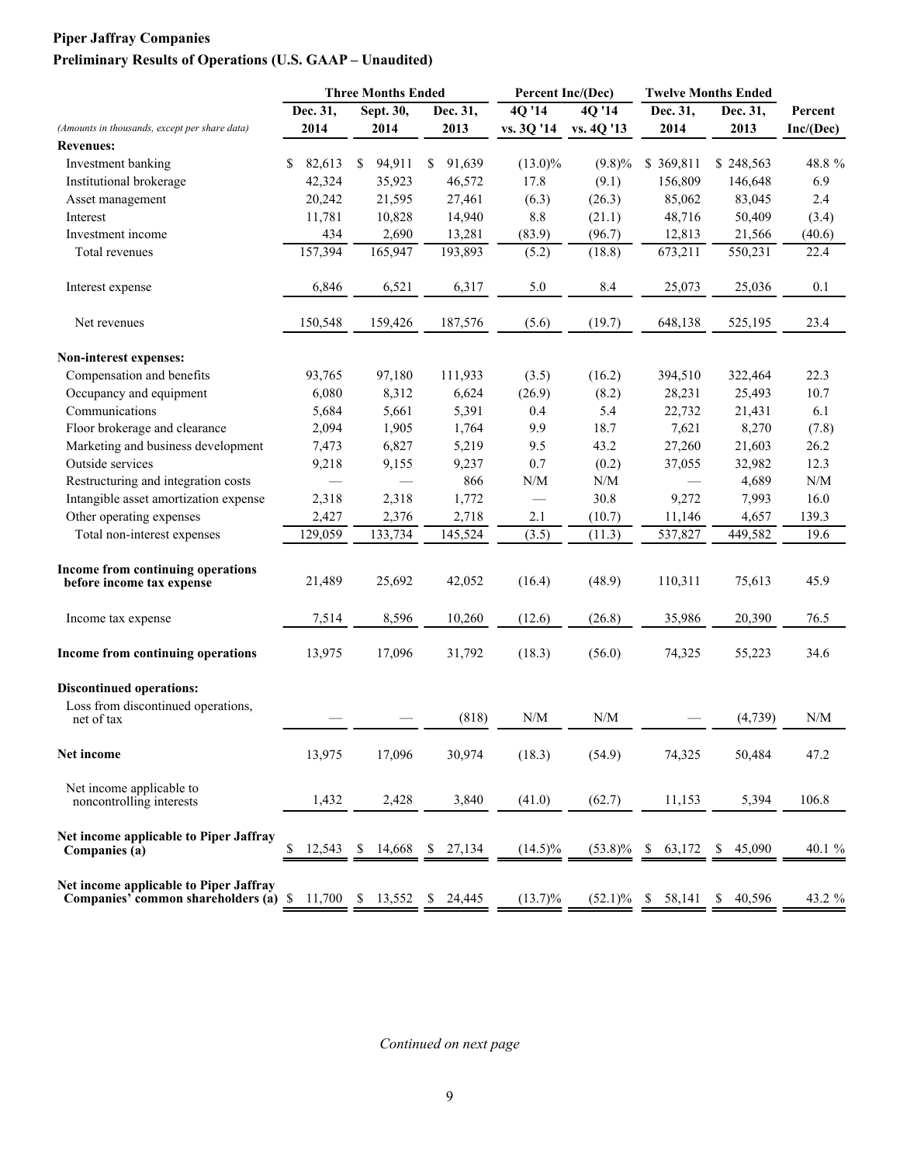# **Piper Jaffray Companies Preliminary Results of Operations (U.S. GAAP – Unaudited)**

|                                                                                 | <b>Three Months Ended</b> |          |    | Percent Inc/(Dec) |              |                                                             | <b>Twelve Months Ended</b> |    |           |               |           |                                                             |
|---------------------------------------------------------------------------------|---------------------------|----------|----|-------------------|--------------|-------------------------------------------------------------|----------------------------|----|-----------|---------------|-----------|-------------------------------------------------------------|
|                                                                                 |                           | Dec. 31, |    | Sept. 30,         | Dec. 31,     | 4Q'14                                                       | 4Q '14                     |    | Dec. 31,  |               | Dec. 31,  | Percent                                                     |
| (Amounts in thousands, except per share data)                                   |                           | 2014     |    | 2014              | 2013         | vs. 3Q '14                                                  | vs. 4Q '13                 |    | 2014      |               | 2013      | Inc/(Dec)                                                   |
| <b>Revenues:</b>                                                                |                           |          |    |                   |              |                                                             |                            |    |           |               |           |                                                             |
| Investment banking                                                              | \$                        | 82,613   | \$ | 94,911            | \$<br>91,639 | $(13.0)\%$                                                  | $(9.8)\%$                  |    | \$369,811 |               | \$248,563 | 48.8 %                                                      |
| Institutional brokerage                                                         |                           | 42,324   |    | 35,923            | 46,572       | 17.8                                                        | (9.1)                      |    | 156,809   |               | 146,648   | 6.9                                                         |
| Asset management                                                                |                           | 20,242   |    | 21,595            | 27,461       | (6.3)                                                       | (26.3)                     |    | 85,062    |               | 83,045    | 2.4                                                         |
| Interest                                                                        |                           | 11,781   |    | 10,828            | 14,940       | $8.8\,$                                                     | (21.1)                     |    | 48,716    |               | 50,409    | (3.4)                                                       |
| Investment income                                                               |                           | 434      |    | 2,690             | 13,281       | (83.9)                                                      | (96.7)                     |    | 12,813    |               | 21,566    | (40.6)                                                      |
| Total revenues                                                                  |                           | 157,394  |    | 165,947           | 193,893      | (5.2)                                                       | (18.8)                     |    | 673,211   |               | 550,231   | 22.4                                                        |
| Interest expense                                                                |                           | 6,846    |    | 6,521             | 6,317        | 5.0                                                         | 8.4                        |    | 25,073    |               | 25,036    | 0.1                                                         |
| Net revenues                                                                    |                           | 150,548  |    | 159,426           | 187,576      | (5.6)                                                       | (19.7)                     |    | 648,138   |               | 525,195   | 23.4                                                        |
| <b>Non-interest expenses:</b>                                                   |                           |          |    |                   |              |                                                             |                            |    |           |               |           |                                                             |
| Compensation and benefits                                                       |                           | 93,765   |    | 97,180            | 111,933      | (3.5)                                                       | (16.2)                     |    | 394,510   |               | 322,464   | 22.3                                                        |
| Occupancy and equipment                                                         |                           | 6,080    |    | 8,312             | 6,624        | (26.9)                                                      | (8.2)                      |    | 28,231    |               | 25,493    | 10.7                                                        |
| Communications                                                                  |                           | 5,684    |    | 5,661             | 5,391        | 0.4                                                         | 5.4                        |    | 22,732    |               | 21,431    | 6.1                                                         |
| Floor brokerage and clearance                                                   |                           | 2,094    |    | 1,905             | 1,764        | 9.9                                                         | 18.7                       |    | 7,621     |               | 8,270     | (7.8)                                                       |
| Marketing and business development                                              |                           | 7,473    |    | 6,827             | 5,219        | 9.5                                                         | 43.2                       |    | 27,260    |               | 21,603    | 26.2                                                        |
| Outside services                                                                |                           | 9,218    |    | 9,155             | 9,237        | 0.7                                                         | (0.2)                      |    | 37,055    |               | 32,982    | 12.3                                                        |
| Restructuring and integration costs                                             |                           |          |    |                   | 866          | $\ensuremath{\text{N}}\xspace/\ensuremath{\text{M}}\xspace$ | N/M                        |    |           |               | 4,689     | N/M                                                         |
| Intangible asset amortization expense                                           |                           | 2,318    |    | 2,318             | 1,772        |                                                             | 30.8                       |    | 9,272     |               | 7,993     | 16.0                                                        |
| Other operating expenses                                                        |                           | 2,427    |    | 2,376             | 2,718        | 2.1                                                         | (10.7)                     |    | 11,146    |               | 4,657     | 139.3                                                       |
| Total non-interest expenses                                                     |                           | 129,059  |    | 133,734           | 145,524      | (3.5)                                                       | (11.3)                     |    | 537,827   |               | 449,582   | 19.6                                                        |
| Income from continuing operations<br>before income tax expense                  |                           | 21,489   |    | 25,692            | 42,052       | (16.4)                                                      | (48.9)                     |    | 110,311   |               | 75,613    | 45.9                                                        |
| Income tax expense                                                              |                           | 7,514    |    | 8,596             | 10,260       | (12.6)                                                      | (26.8)                     |    | 35,986    |               | 20,390    | 76.5                                                        |
| Income from continuing operations                                               |                           | 13,975   |    | 17,096            | 31,792       | (18.3)                                                      | (56.0)                     |    | 74,325    |               | 55,223    | 34.6                                                        |
| <b>Discontinued operations:</b>                                                 |                           |          |    |                   |              |                                                             |                            |    |           |               |           |                                                             |
| Loss from discontinued operations,<br>net of tax                                |                           |          |    |                   | (818)        | N/M                                                         | N/M                        |    |           |               | (4,739)   | $\ensuremath{\text{N}}\xspace/\ensuremath{\text{M}}\xspace$ |
| Net income                                                                      |                           | 13,975   |    | 17,096            | 30,974       | (18.3)                                                      | (54.9)                     |    | 74,325    |               | 50,484    | 47.2                                                        |
| Net income applicable to<br>noncontrolling interests                            |                           | 1,432    |    | 2,428             | 3,840        | (41.0)                                                      | (62.7)                     |    | 11,153    |               | 5,394     | 106.8                                                       |
| Net income applicable to Piper Jaffray<br>Companies (a)                         | \$                        | 12,543   | S. | 14,668            | \$<br>27,134 | $(14.5)\%$                                                  | $(53.8)\%$                 | -S | 63,172    | <sup>\$</sup> | 45,090    | 40.1 %                                                      |
| Net income applicable to Piper Jaffray<br>Companies' common shareholders (a) \$ |                           | 11,700   |    | \$13,552          | \$24,445     | $(13.7)\%$                                                  | $(52.1)\%$ \$              |    | 58,141    |               | \$40,596  | 43.2 %                                                      |

*Continued on next page*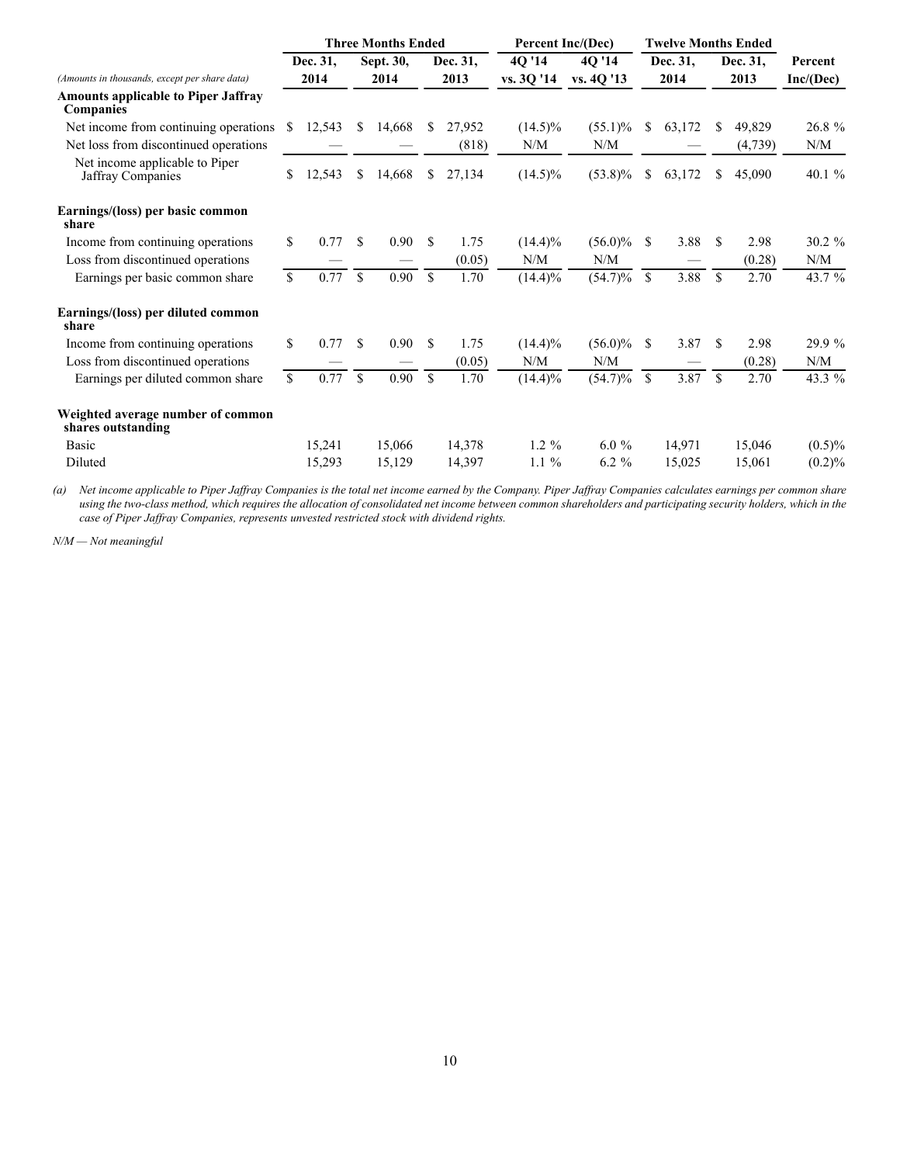|                                                                |             |          | <b>Three Months Ended</b> |           |               |          | Percent Inc/(Dec) |            |               | <b>Twelve Months Ended</b> |               |         |           |
|----------------------------------------------------------------|-------------|----------|---------------------------|-----------|---------------|----------|-------------------|------------|---------------|----------------------------|---------------|---------|-----------|
|                                                                |             | Dec. 31, |                           | Sept. 30, |               | Dec. 31. | 4Q '14            | 4Q '14     |               | Dec. 31,                   | Dec. 31,      |         | Percent   |
| (Amounts in thousands, except per share data)                  |             | 2014     | 2014                      |           |               | 2013     | vs. 30 '14        | vs. 4Q '13 | 2014          |                            | 2013          |         | Inc/(Dec) |
| <b>Amounts applicable to Piper Jaffray</b><br><b>Companies</b> |             |          |                           |           |               |          |                   |            |               |                            |               |         |           |
| Net income from continuing operations                          | S           | 12,543   | S.                        | 14,668    | S.            | 27,952   | $(14.5)\%$        | $(55.1)\%$ | S.            | 63,172                     | S             | 49,829  | 26.8%     |
| Net loss from discontinued operations                          |             |          |                           |           |               | (818)    | N/M               | N/M        |               |                            |               | (4,739) | N/M       |
| Net income applicable to Piper<br>Jaffray Companies            | \$          | 12,543   | S.                        | 14,668    | S.            | 27,134   | $(14.5)\%$        | $(53.8)\%$ | S.            | 63,172                     | S.            | 45,090  | 40.1 $%$  |
| Earnings/(loss) per basic common<br>share                      |             |          |                           |           |               |          |                   |            |               |                            |               |         |           |
| Income from continuing operations                              | \$          | 0.77     | \$.                       | 0.90      | \$.           | 1.75     | $(14.4)\%$        | $(56.0)\%$ | -S            | 3.88                       | \$.           | 2.98    | $30.2 \%$ |
| Loss from discontinued operations                              |             |          |                           |           |               | (0.05)   | N/M               | N/M        |               |                            |               | (0.28)  | N/M       |
| Earnings per basic common share                                | $\mathbf S$ | 0.77     | $\mathbf S$               | 0.90      | $\mathbf S$   | 1.70     | $(14.4)\%$        | $(54.7)\%$ | \$            | 3.88                       | \$            | 2.70    | 43.7 %    |
| Earnings/(loss) per diluted common<br>share                    |             |          |                           |           |               |          |                   |            |               |                            |               |         |           |
| Income from continuing operations                              | \$          | 0.77     | \$                        | 0.90      | <sup>\$</sup> | 1.75     | $(14.4)\%$        | $(56.0)\%$ | <sup>\$</sup> | 3.87                       | <sup>\$</sup> | 2.98    | 29.9 %    |
| Loss from discontinued operations                              |             |          |                           |           |               | (0.05)   | N/M               | N/M        |               |                            |               | (0.28)  | N/M       |
| Earnings per diluted common share                              | \$          | 0.77     | $\mathbf S$               | 0.90      | $\mathbf{s}$  | 1.70     | $(14.4)\%$        | $(54.7)\%$ | $\mathbf S$   | 3.87                       | $\mathbf S$   | 2.70    | 43.3 %    |
| Weighted average number of common<br>shares outstanding        |             |          |                           |           |               |          |                   |            |               |                            |               |         |           |
| Basic                                                          |             | 15,241   |                           | 15,066    |               | 14,378   | $1.2 \%$          | $6.0\%$    |               | 14,971                     |               | 15,046  | $(0.5)\%$ |
| Diluted                                                        |             | 15,293   |                           | 15,129    |               | 14,397   | $1.1\%$           | $6.2 \%$   |               | 15,025                     |               | 15,061  | $(0.2)\%$ |

*(a) Net income applicable to Piper Jaffray Companies is the total net income earned by the Company. Piper Jaffray Companies calculates earnings per common share using the two-class method, which requires the allocation of consolidated net income between common shareholders and participating security holders, which in the case of Piper Jaffray Companies, represents unvested restricted stock with dividend rights.*

*N/M — Not meaningful*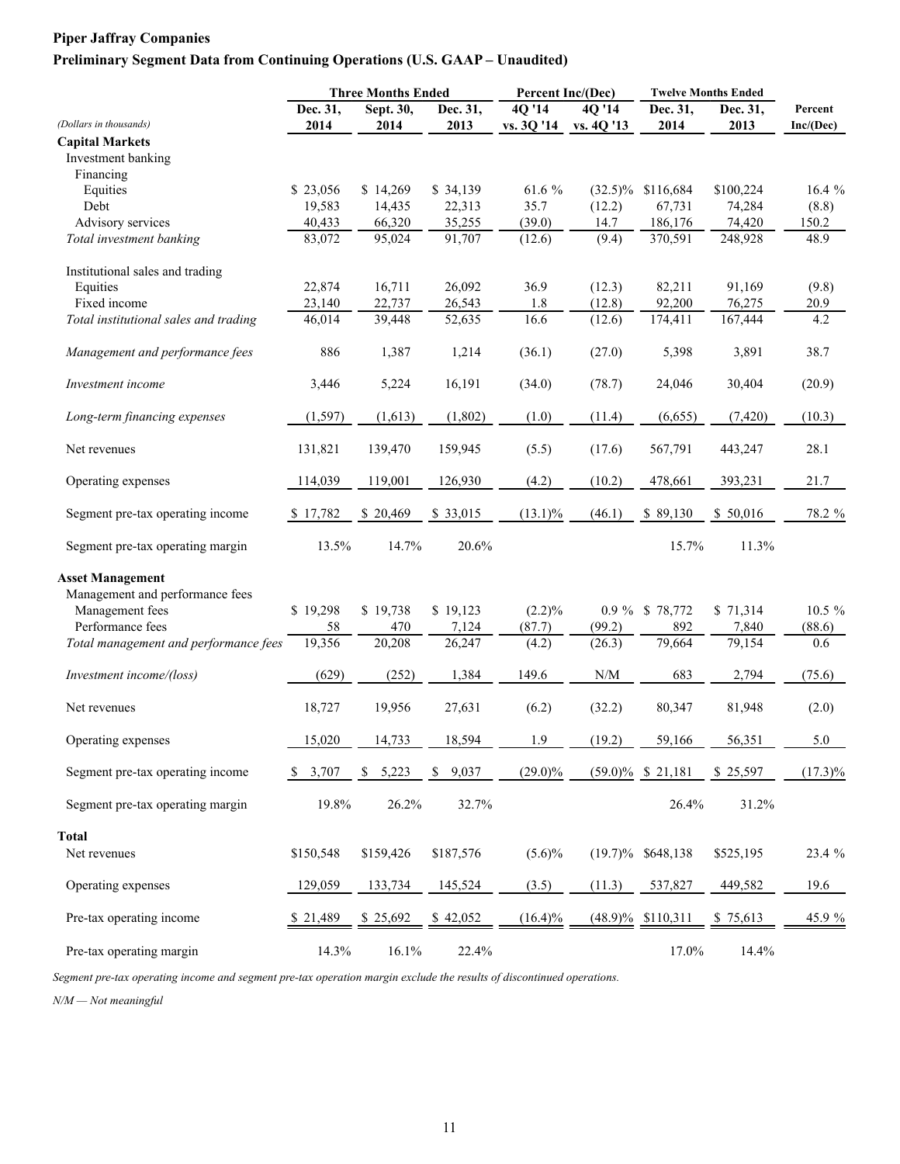### **Preliminary Segment Data from Continuing Operations (U.S. GAAP – Unaudited)**

|                                                    |           |           | <b>Three Months Ended</b> |            | Percent Inc/(Dec)                                           | <b>Twelve Months Ended</b> |           |            |
|----------------------------------------------------|-----------|-----------|---------------------------|------------|-------------------------------------------------------------|----------------------------|-----------|------------|
|                                                    | Dec. 31,  | Sept. 30, | Dec. 31,                  | 4Q '14     | 4Q '14                                                      | Dec. 31,                   | Dec. 31,  | Percent    |
| (Dollars in thousands)                             | 2014      | 2014      | 2013                      | vs. 3Q '14 | vs. 4Q '13                                                  | 2014                       | 2013      | Inc/(Dec)  |
| <b>Capital Markets</b>                             |           |           |                           |            |                                                             |                            |           |            |
| Investment banking                                 |           |           |                           |            |                                                             |                            |           |            |
| Financing                                          |           |           |                           |            |                                                             |                            |           |            |
| Equities                                           | \$23,056  | \$14,269  | \$34,139                  | 61.6 %     | $(32.5)\%$                                                  | \$116,684                  | \$100,224 | 16.4%      |
| Debt                                               | 19,583    | 14,435    | 22,313                    | 35.7       | (12.2)                                                      | 67,731                     | 74,284    | (8.8)      |
| Advisory services                                  | 40,433    | 66,320    | 35,255                    | (39.0)     | 14.7                                                        | 186,176                    | 74,420    | 150.2      |
| Total investment banking                           | 83,072    | 95,024    | 91,707                    | (12.6)     | (9.4)                                                       | 370,591                    | 248,928   | 48.9       |
| Institutional sales and trading                    |           |           |                           |            |                                                             |                            |           |            |
| Equities                                           | 22,874    | 16,711    | 26,092                    | 36.9       | (12.3)                                                      | 82,211                     | 91,169    | (9.8)      |
| Fixed income                                       | 23,140    | 22,737    | 26,543                    | $1.8\,$    | (12.8)                                                      | 92,200                     | 76,275    | 20.9       |
| Total institutional sales and trading              | 46,014    | 39,448    | 52,635                    | 16.6       | (12.6)                                                      | 174,411                    | 167,444   | 4.2        |
| Management and performance fees                    | 886       | 1,387     | 1,214                     | (36.1)     | (27.0)                                                      | 5,398                      | 3,891     | 38.7       |
| Investment income                                  | 3,446     | 5,224     | 16,191                    | (34.0)     | (78.7)                                                      | 24,046                     | 30,404    | (20.9)     |
| Long-term financing expenses                       | (1, 597)  | (1,613)   | (1,802)                   | (1.0)      | (11.4)                                                      | (6,655)                    | (7, 420)  | (10.3)     |
| Net revenues                                       | 131,821   | 139,470   | 159,945                   | (5.5)      | (17.6)                                                      | 567,791                    | 443,247   | 28.1       |
| Operating expenses                                 | 114,039   | 119,001   | 126,930                   | (4.2)      | (10.2)                                                      | 478,661                    | 393,231   | 21.7       |
| Segment pre-tax operating income                   | \$17,782  | \$20,469  | \$ 33,015                 | $(13.1)\%$ | (46.1)                                                      | \$89,130                   | \$50,016  | 78.2 %     |
| Segment pre-tax operating margin                   | 13.5%     | 14.7%     | 20.6%                     |            |                                                             | 15.7%                      | 11.3%     |            |
|                                                    |           |           |                           |            |                                                             |                            |           |            |
| <b>Asset Management</b>                            |           |           |                           |            |                                                             |                            |           |            |
| Management and performance fees<br>Management fees | \$19,298  | \$19,738  | \$19,123                  | $(2.2)\%$  |                                                             | 0.9 % \$ 78,772            | \$71,314  | $10.5 \%$  |
| Performance fees                                   | 58        | 470       | 7,124                     | (87.7)     | (99.2)                                                      | 892                        | 7,840     | (88.6)     |
| Total management and performance fees              | 19,356    | 20,208    | 26,247                    | (4.2)      | (26.3)                                                      | 79,664                     | 79,154    | 0.6        |
|                                                    |           |           |                           |            |                                                             |                            |           |            |
| Investment income/(loss)                           | (629)     | (252)     | 1,384                     | 149.6      | $\ensuremath{\text{N}}\xspace/\ensuremath{\text{M}}\xspace$ | 683                        | 2,794     | (75.6)     |
| Net revenues                                       | 18,727    | 19,956    | 27,631                    | (6.2)      | (32.2)                                                      | 80,347                     | 81,948    | (2.0)      |
| Operating expenses                                 | 15,020    | 14,733    | 18,594                    | 1.9        | (19.2)                                                      | 59,166                     | 56,351    | 5.0        |
| Segment pre-tax operating income                   | \$3,707   | \$5,223   | 9,037<br>\$               | $(29.0)\%$ |                                                             | $(59.0)\%$ \$ 21,181       | \$25,597  | $(17.3)\%$ |
| Segment pre-tax operating margin                   | 19.8%     | 26.2%     | 32.7%                     |            |                                                             | 26.4%                      | 31.2%     |            |
| Total                                              |           |           |                           |            |                                                             |                            |           |            |
| Net revenues                                       | \$150,548 | \$159,426 | \$187,576                 | $(5.6)\%$  |                                                             | $(19.7)\%$ \$648,138       | \$525,195 | 23.4 %     |
| Operating expenses                                 | 129,059   | 133,734   | 145,524                   | (3.5)      | (11.3)                                                      | 537,827                    | 449,582   | 19.6       |
| Pre-tax operating income                           | \$21,489  | \$25,692  | \$42,052                  | $(16.4)\%$ |                                                             | $(48.9)\%$ \$110,311       | \$75,613  | 45.9%      |
| Pre-tax operating margin                           | 14.3%     | 16.1%     | 22.4%                     |            |                                                             | 17.0%                      | 14.4%     |            |

*Segment pre-tax operating income and segment pre-tax operation margin exclude the results of discontinued operations.*

*N/M — Not meaningful*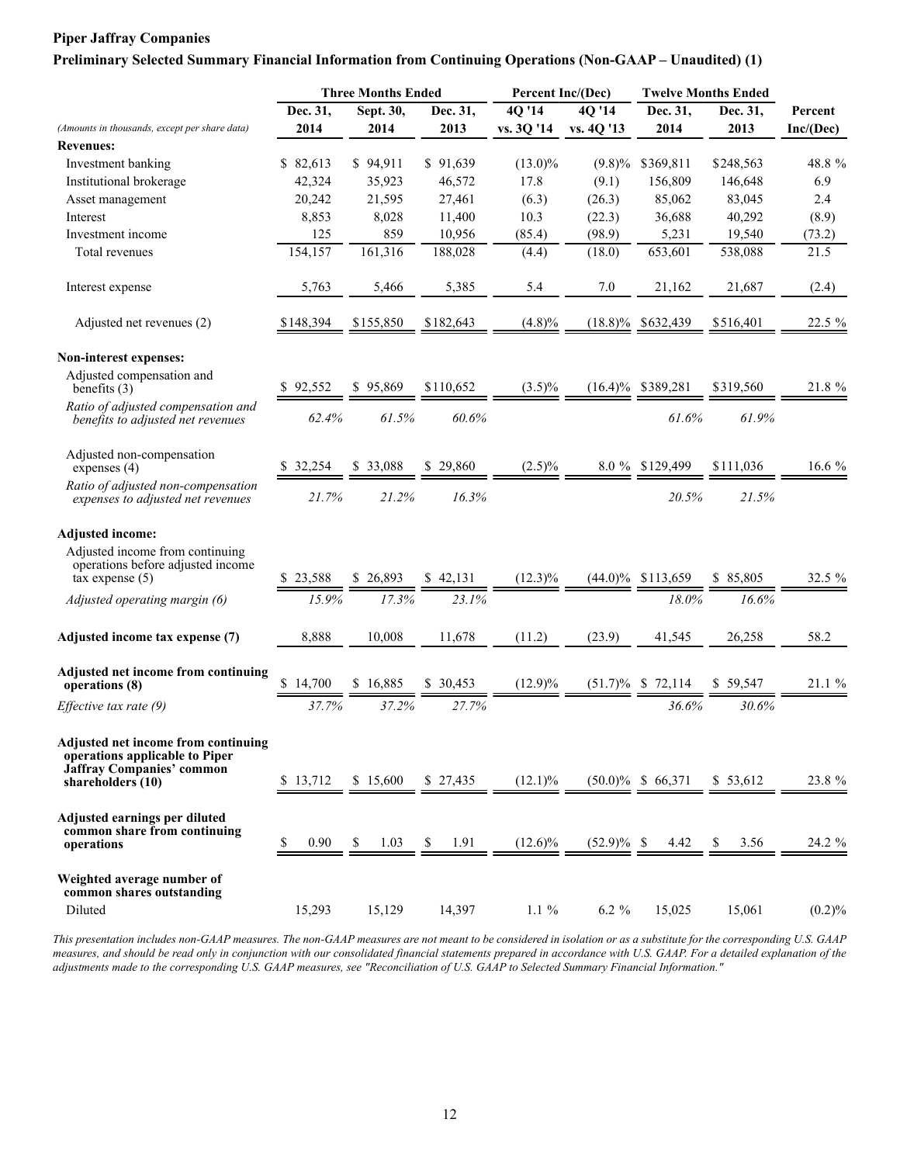### **Preliminary Selected Summary Financial Information from Continuing Operations (Non-GAAP – Unaudited) (1)**

|                                                                                                                                |            | <b>Three Months Ended</b> |            | Percent Inc/(Dec) |               | <b>Twelve Months Ended</b> |            |           |
|--------------------------------------------------------------------------------------------------------------------------------|------------|---------------------------|------------|-------------------|---------------|----------------------------|------------|-----------|
|                                                                                                                                | Dec. 31,   | Sept. 30,                 | Dec. 31,   | 40'14             | 40'14         | Dec. 31,                   | Dec. 31,   | Percent   |
| (Amounts in thousands, except per share data)                                                                                  | 2014       | 2014                      | 2013       | vs. 3Q '14        | vs. 4Q '13    | 2014                       | 2013       | Inc/(Dec) |
| <b>Revenues:</b>                                                                                                               |            |                           |            |                   |               |                            |            |           |
| Investment banking                                                                                                             | \$82,613   | \$94,911                  | \$91,639   | $(13.0)\%$        | $(9.8)\%$     | \$369,811                  | \$248,563  | 48.8 %    |
| Institutional brokerage                                                                                                        | 42,324     | 35,923                    | 46,572     | 17.8              | (9.1)         | 156,809                    | 146,648    | 6.9       |
| Asset management                                                                                                               | 20,242     | 21,595                    | 27,461     | (6.3)             | (26.3)        | 85,062                     | 83,045     | 2.4       |
| Interest                                                                                                                       | 8,853      | 8,028                     | 11,400     | 10.3              | (22.3)        | 36,688                     | 40,292     | (8.9)     |
| Investment income                                                                                                              | 125        | 859                       | 10,956     | (85.4)            | (98.9)        | 5,231                      | 19,540     | (73.2)    |
| Total revenues                                                                                                                 | 154,157    | 161,316                   | 188,028    | (4.4)             | (18.0)        | 653,601                    | 538,088    | 21.5      |
| Interest expense                                                                                                               | 5,763      | 5,466                     | 5,385      | 5.4               | 7.0           | 21,162                     | 21,687     | (2.4)     |
| Adjusted net revenues (2)                                                                                                      | \$148,394  | \$155,850                 | \$182,643  | (4.8)%            |               | $(18.8)\%$ \$632,439       | \$516,401  | 22.5 %    |
| Non-interest expenses:                                                                                                         |            |                           |            |                   |               |                            |            |           |
| Adjusted compensation and<br>benefits $(3)$                                                                                    | \$92,552   | \$95.869                  | \$110,652  | $(3.5)\%$         | $(16.4)\%$    | \$389,281                  | \$319,560  | 21.8 %    |
| Ratio of adjusted compensation and<br>benefits to adjusted net revenues                                                        | 62.4%      | 61.5%                     | 60.6%      |                   |               | 61.6%                      | 61.9%      |           |
| Adjusted non-compensation<br>expenses $(4)$                                                                                    | \$32,254   | \$ 33,088                 | \$29,860   | $(2.5)\%$         |               | 8.0 % \$129,499            | \$111.036  | 16.6 $%$  |
| Ratio of adjusted non-compensation<br>expenses to adjusted net revenues                                                        | 21.7%      | 21.2%                     | 16.3%      |                   |               | 20.5%                      | 21.5%      |           |
| <b>Adjusted income:</b>                                                                                                        |            |                           |            |                   |               |                            |            |           |
| Adjusted income from continuing<br>operations before adjusted income<br>$\overline{ax}$ expense $(5)$                          | \$23,588   | \$26,893                  | \$42,131   | $(12.3)\%$        |               | $(44.0)\%$ \$113,659       | \$85,805   | 32.5 %    |
| Adjusted operating margin (6)                                                                                                  | 15.9%      | 17.3%                     | 23.1%      |                   |               | 18.0%                      | 16.6%      |           |
| Adjusted income tax expense (7)                                                                                                | 8,888      | 10,008                    | 11,678     | (11.2)            | (23.9)        | 41,545                     | 26,258     | 58.2      |
| Adjusted net income from continuing<br>operations (8)                                                                          | \$14,700   | \$16,885                  | \$ 30,453  | $(12.9)\%$        |               | $(51.7)\%$ \$ 72,114       | \$59,547   | 21.1 %    |
| Effective tax rate (9)                                                                                                         | 37.7%      | 37.2%                     | 27.7%      |                   |               | 36.6%                      | 30.6%      |           |
| Adjusted net income from continuing<br>operations applicable to Piper<br><b>Jaffray Companies' common</b><br>shareholders (10) | \$13,712   | \$15,600                  | \$27,435   | $(12.1)\%$        |               | $(50.0)\%$ \$ 66,371       | \$53,612   | 23.8 %    |
|                                                                                                                                |            |                           |            |                   |               |                            |            |           |
| Adjusted earnings per diluted<br>common share from continuing<br>operations                                                    | \$<br>0.90 | \$<br>1.03                | 1.91<br>\$ | $(12.6)\%$        | $(52.9)\%$ \$ | 4.42                       | \$<br>3.56 | 24.2 %    |
| Weighted average number of<br>common shares outstanding                                                                        |            |                           |            |                   |               |                            |            |           |
| Diluted                                                                                                                        | 15,293     | 15,129                    | 14,397     | $1.1\%$           | $6.2 \%$      | 15,025                     | 15,061     | $(0.2)\%$ |

*This presentation includes non-GAAP measures. The non-GAAP measures are not meant to be considered in isolation or as a substitute for the corresponding U.S. GAAP measures, and should be read only in conjunction with our consolidated financial statements prepared in accordance with U.S. GAAP. For a detailed explanation of the adjustments made to the corresponding U.S. GAAP measures, see "Reconciliation of U.S. GAAP to Selected Summary Financial Information."*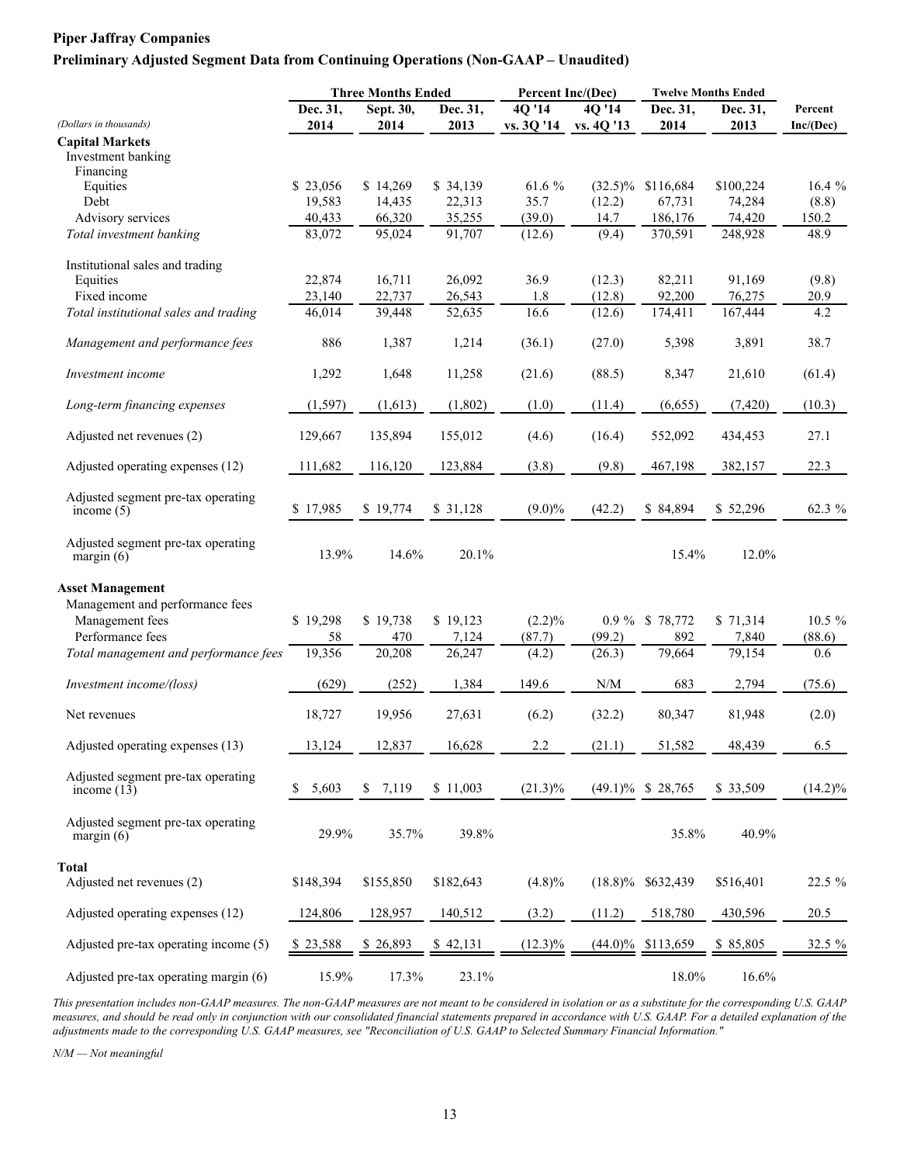### **Preliminary Adjusted Segment Data from Continuing Operations (Non-GAAP – Unaudited)**

|                                                     | <b>Three Months Ended</b> |                  |                  |            | Percent Inc/(Dec)                                           | <b>Twelve Months Ended</b> |                  |            |  |
|-----------------------------------------------------|---------------------------|------------------|------------------|------------|-------------------------------------------------------------|----------------------------|------------------|------------|--|
|                                                     | Dec. 31,                  | Sept. $30,$      | Dec. 31,         | 40'14      | 40'14                                                       | Dec. 31,                   | Dec. 31,         | Percent    |  |
| (Dollars in thousands)                              | 2014                      | 2014             | 2013             | vs. 3Q '14 | vs. 4Q '13                                                  | 2014                       | 2013             | Inc/(Dec)  |  |
| <b>Capital Markets</b><br>Investment banking        |                           |                  |                  |            |                                                             |                            |                  |            |  |
| Financing<br>Equities                               | \$23,056                  | \$14,269         | \$34,139         | 61.6 %     | $(32.5)\%$                                                  | \$116,684                  | \$100,224        | 16.4%      |  |
| Debt                                                |                           |                  |                  | 35.7       |                                                             | 67,731                     |                  | (8.8)      |  |
| Advisory services                                   | 19,583<br>40,433          | 14,435<br>66,320 | 22,313<br>35,255 | (39.0)     | (12.2)<br>14.7                                              | 186,176                    | 74,284<br>74,420 | 150.2      |  |
| Total investment banking                            | 83,072                    | 95,024           | 91,707           | (12.6)     | (9.4)                                                       | 370,591                    | 248,928          | 48.9       |  |
| Institutional sales and trading                     |                           |                  |                  |            |                                                             |                            |                  |            |  |
| Equities                                            | 22,874                    | 16,711           | 26,092           | 36.9       | (12.3)                                                      | 82,211                     | 91,169           | (9.8)      |  |
| Fixed income                                        | 23,140                    | 22,737           | 26,543           | 1.8        | (12.8)                                                      | 92,200                     | 76,275           | 20.9       |  |
| Total institutional sales and trading               | 46,014                    | 39,448           | 52,635           | 16.6       | (12.6)                                                      | 174,411                    | 167,444          | 4.2        |  |
| Management and performance fees                     | 886                       | 1,387            | 1,214            | (36.1)     | (27.0)                                                      | 5,398                      | 3,891            | 38.7       |  |
| Investment income                                   | 1,292                     | 1,648            | 11,258           | (21.6)     | (88.5)                                                      | 8,347                      | 21,610           | (61.4)     |  |
| Long-term financing expenses                        | (1, 597)                  | (1,613)          | (1,802)          | (1.0)      | (11.4)                                                      | (6,655)                    | (7, 420)         | (10.3)     |  |
| Adjusted net revenues (2)                           | 129,667                   | 135,894          | 155,012          | (4.6)      | (16.4)                                                      | 552,092                    | 434,453          | 27.1       |  |
| Adjusted operating expenses (12)                    | 111,682                   | 116,120          | 123,884          | (3.8)      | (9.8)                                                       | 467,198                    | 382,157          | 22.3       |  |
| Adjusted segment pre-tax operating<br>income $(5)$  | \$17,985                  | \$19,774         | \$31,128         | $(9.0)\%$  | (42.2)                                                      | \$84,894                   | \$52,296         | 62.3 %     |  |
| Adjusted segment pre-tax operating<br>margin $(6)$  | 13.9%                     | 14.6%            | 20.1%            |            |                                                             | 15.4%                      | 12.0%            |            |  |
| <b>Asset Management</b>                             |                           |                  |                  |            |                                                             |                            |                  |            |  |
| Management and performance fees                     |                           |                  |                  |            |                                                             |                            |                  |            |  |
| Management fees                                     | \$19,298                  | \$19,738         | \$19,123         | $(2.2)\%$  |                                                             | 0.9 % \$78,772             | \$71,314         | $10.5 \%$  |  |
| Performance fees                                    | 58                        | 470              | 7,124            | (87.7)     | (99.2)                                                      | 892                        | 7,840            | (88.6)     |  |
| Total management and performance fees               | 19,356                    | 20,208           | 26,247           | (4.2)      | (26.3)                                                      | 79,664                     | 79,154           | 0.6        |  |
| Investment income/(loss)                            | (629)                     | (252)            | 1,384            | 149.6      | $\ensuremath{\text{N}}\xspace/\ensuremath{\text{M}}\xspace$ | 683                        | 2,794            | (75.6)     |  |
| Net revenues                                        | 18,727                    | 19,956           | 27,631           | (6.2)      | (32.2)                                                      | 80,347                     | 81,948           | (2.0)      |  |
| Adjusted operating expenses (13)                    | 13,124                    | 12,837           | 16,628           | 2.2        | (21.1)                                                      | 51,582                     | 48,439           | 6.5        |  |
| Adjusted segment pre-tax operating<br>income $(13)$ | 5,603<br>\$               | 7,119<br>\$      | \$11,003         | $(21.3)\%$ |                                                             | $(49.1)\%$ \$ 28,765       | \$33,509         | $(14.2)\%$ |  |
| Adjusted segment pre-tax operating<br>margin $(6)$  | 29.9%                     | 35.7%            | 39.8%            |            |                                                             | 35.8%                      | 40.9%            |            |  |
| <b>Total</b>                                        |                           |                  |                  |            |                                                             |                            |                  |            |  |
| Adjusted net revenues (2)                           | \$148,394                 | \$155,850        | \$182,643        | (4.8)%     | $(18.8)\%$                                                  | \$632,439                  | \$516,401        | 22.5 %     |  |
| Adjusted operating expenses (12)                    | 124,806                   | 128,957          | 140,512          | (3.2)      | (11.2)                                                      | 518,780                    | 430,596          | 20.5       |  |
| Adjusted pre-tax operating income (5)               | \$23,588                  | \$26,893         | \$42,131         | $(12.3)\%$ | $(44.0)\%$                                                  | \$113,659                  | \$ 85,805        | 32.5 %     |  |
| Adjusted pre-tax operating margin (6)               | 15.9%                     | 17.3%            | 23.1%            |            |                                                             | 18.0%                      | 16.6%            |            |  |

*This presentation includes non-GAAP measures. The non-GAAP measures are not meant to be considered in isolation or as a substitute for the corresponding U.S. GAAP measures, and should be read only in conjunction with our consolidated financial statements prepared in accordance with U.S. GAAP. For a detailed explanation of the adjustments made to the corresponding U.S. GAAP measures, see "Reconciliation of U.S. GAAP to Selected Summary Financial Information."*

*N/M — Not meaningful*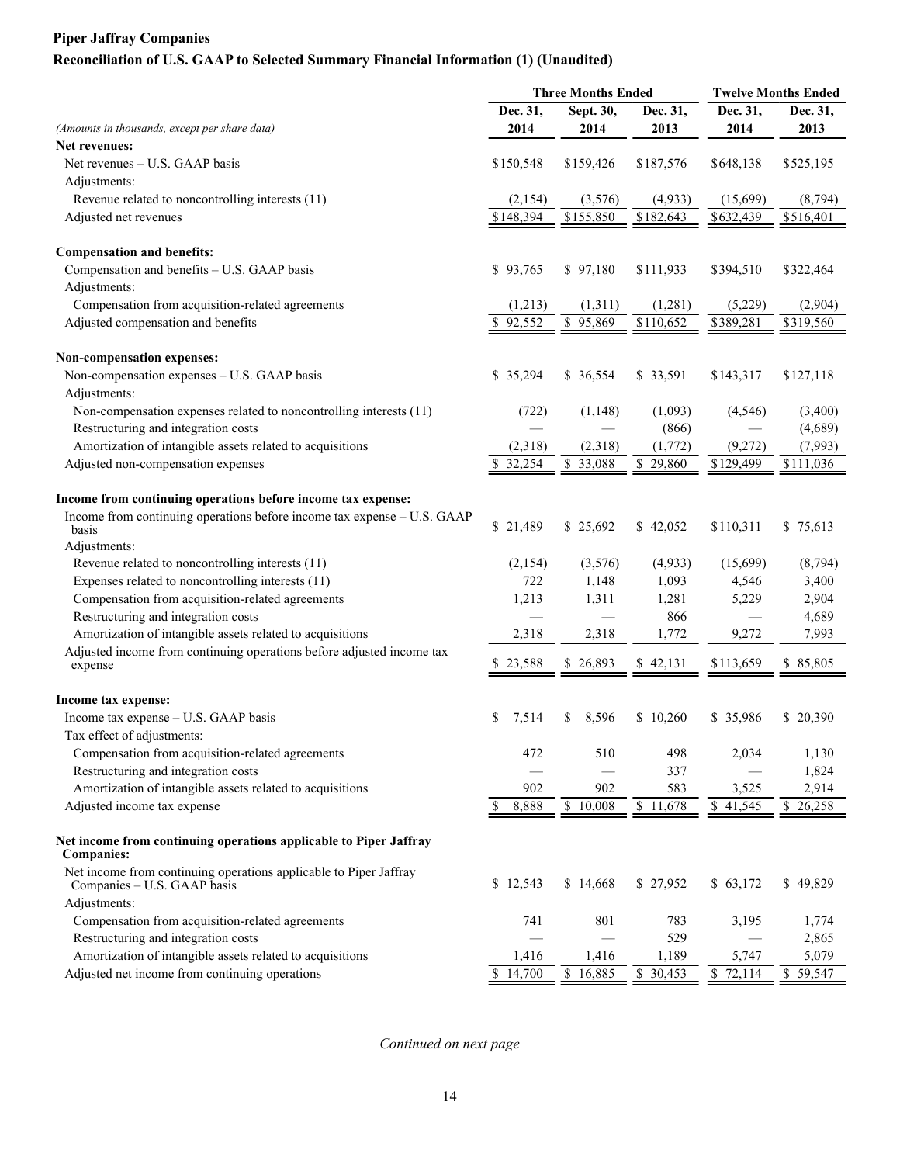# **Reconciliation of U.S. GAAP to Selected Summary Financial Information (1) (Unaudited)**

|                                                                                                  | <b>Three Months Ended</b> | <b>Twelve Months Ended</b> |                       |           |           |
|--------------------------------------------------------------------------------------------------|---------------------------|----------------------------|-----------------------|-----------|-----------|
|                                                                                                  | Dec. 31,                  | Sept. 30,                  | Dec. 31,              | Dec. 31,  | Dec. 31,  |
| (Amounts in thousands, except per share data)                                                    | 2014                      | 2014                       | 2013                  | 2014      | 2013      |
| <b>Net revenues:</b>                                                                             |                           |                            |                       |           |           |
| Net revenues - U.S. GAAP basis                                                                   | \$150,548                 | \$159,426                  | \$187,576             | \$648,138 | \$525,195 |
| Adjustments:                                                                                     |                           |                            |                       |           |           |
| Revenue related to noncontrolling interests (11)                                                 | (2,154)                   | (3,576)                    | (4,933)               | (15,699)  | (8,794)   |
| Adjusted net revenues                                                                            | \$148,394                 | \$155,850                  | $\overline{$}182,643$ | \$632,439 | \$516,401 |
| <b>Compensation and benefits:</b>                                                                |                           |                            |                       |           |           |
| Compensation and benefits - U.S. GAAP basis                                                      | \$93,765                  | \$97,180                   | \$111,933             | \$394,510 | \$322,464 |
| Adjustments:                                                                                     |                           |                            |                       |           |           |
| Compensation from acquisition-related agreements                                                 | (1,213)                   | (1,311)                    | (1,281)               | (5,229)   | (2,904)   |
| Adjusted compensation and benefits                                                               | \$92,552                  | $\overline{$}95,869$       | \$110,652             | \$389,281 | \$319,560 |
| Non-compensation expenses:                                                                       |                           |                            |                       |           |           |
| Non-compensation expenses - U.S. GAAP basis                                                      | \$35,294                  | \$ 36,554                  | \$ 33,591             | \$143,317 | \$127,118 |
| Adjustments:                                                                                     |                           |                            |                       |           |           |
| Non-compensation expenses related to noncontrolling interests (11)                               | (722)                     | (1, 148)                   | (1,093)               | (4, 546)  | (3,400)   |
| Restructuring and integration costs                                                              |                           |                            | (866)                 |           | (4,689)   |
| Amortization of intangible assets related to acquisitions                                        | (2,318)                   | (2,318)                    | (1,772)               | (9,272)   | (7,993)   |
| Adjusted non-compensation expenses                                                               | \$32,254                  | $5 - 33,088$               | \$29,860              | \$129,499 | \$111,036 |
| Income from continuing operations before income tax expense:                                     |                           |                            |                       |           |           |
| Income from continuing operations before income tax expense - U.S. GAAP                          |                           |                            |                       |           |           |
| basis                                                                                            | \$21,489                  | \$25,692                   | \$42,052              | \$110,311 | \$75,613  |
| Adjustments:                                                                                     |                           |                            |                       |           |           |
| Revenue related to noncontrolling interests (11)                                                 | (2,154)                   | (3,576)                    | (4,933)               | (15,699)  | (8,794)   |
| Expenses related to noncontrolling interests (11)                                                | 722                       | 1,148                      | 1,093                 | 4,546     | 3,400     |
| Compensation from acquisition-related agreements                                                 | 1,213                     | 1,311                      | 1,281                 | 5,229     | 2,904     |
| Restructuring and integration costs                                                              |                           |                            | 866                   |           | 4,689     |
| Amortization of intangible assets related to acquisitions                                        | 2,318                     | 2,318                      | 1,772                 | 9,272     | 7,993     |
| Adjusted income from continuing operations before adjusted income tax<br>expense                 | \$23,588                  | \$26,893                   | \$42,131              | \$113,659 | \$85,805  |
|                                                                                                  |                           |                            |                       |           |           |
| Income tax expense:                                                                              |                           |                            |                       |           |           |
| Income tax expense - U.S. GAAP basis                                                             | \$<br>7,514               | 8,596<br>\$                | \$10,260              | \$35,986  | \$20,390  |
| Tax effect of adjustments:                                                                       |                           |                            |                       |           |           |
| Compensation from acquisition-related agreements                                                 | 472                       | 510                        | 498                   | 2,034     | 1,130     |
| Restructuring and integration costs                                                              |                           |                            | 337                   |           | 1,824     |
| Amortization of intangible assets related to acquisitions                                        | 902                       | 902                        | 583                   | 3,525     | 2,914     |
| Adjusted income tax expense                                                                      | 8,888<br>\$               | \$10,008                   | $\overline{$}11,678$  | \$41,545  | \$26,258  |
| Net income from continuing operations applicable to Piper Jaffray<br><b>Companies:</b>           |                           |                            |                       |           |           |
| Net income from continuing operations applicable to Piper Jaffray<br>Companies - U.S. GAAP basis | \$12,543                  | \$14,668                   | \$27,952              | \$63,172  | \$49,829  |
| Adjustments:                                                                                     |                           |                            |                       |           |           |
| Compensation from acquisition-related agreements                                                 | 741                       | 801                        | 783                   | 3,195     | 1,774     |
| Restructuring and integration costs                                                              |                           |                            | 529                   |           | 2,865     |
| Amortization of intangible assets related to acquisitions                                        | 1,416                     | 1,416                      | 1,189                 | 5,747     | 5,079     |
| Adjusted net income from continuing operations                                                   | \$14,700                  | \$16,885                   | \$30,453              | \$72,114  | \$59,547  |

*Continued on next page*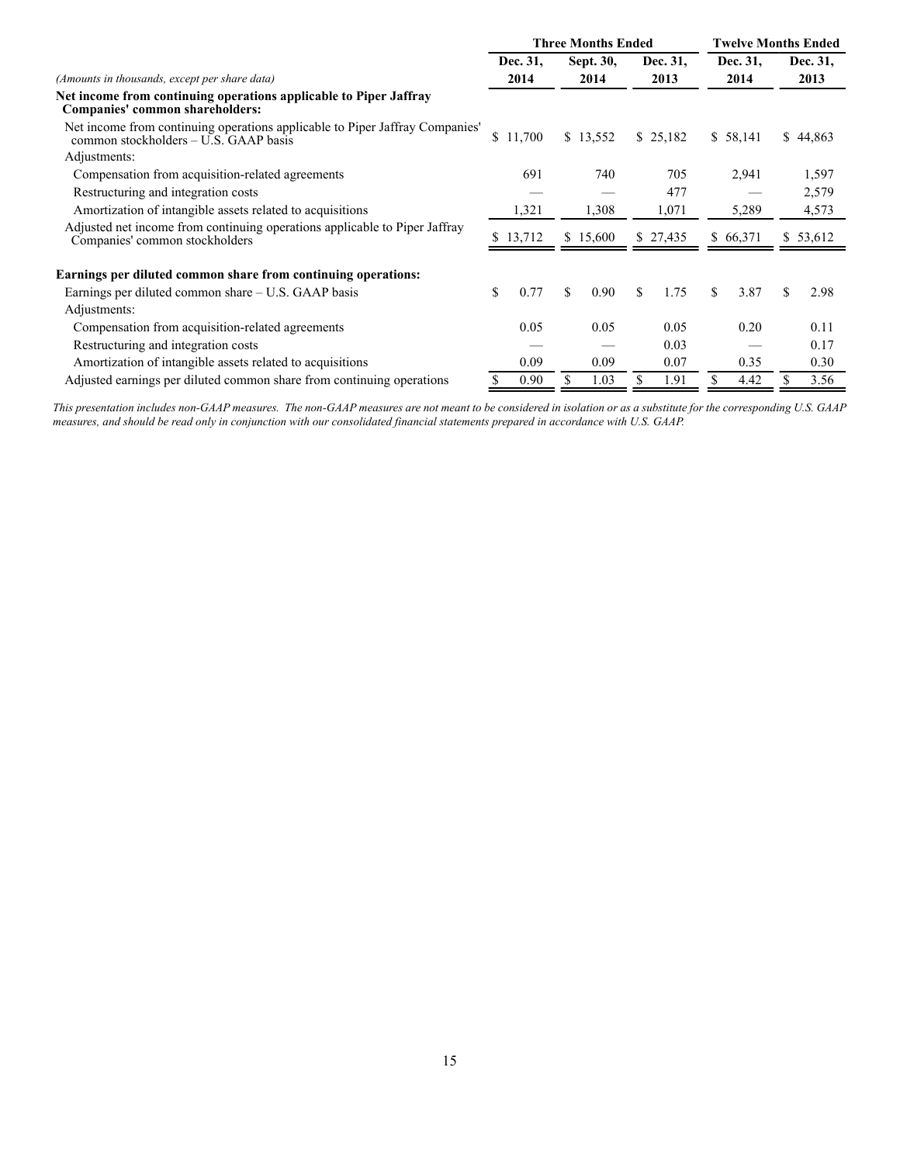|                                                                                                                       |          |        | <b>Three Months Ended</b> |    | <b>Twelve Months Ended</b> |     |          |    |          |
|-----------------------------------------------------------------------------------------------------------------------|----------|--------|---------------------------|----|----------------------------|-----|----------|----|----------|
|                                                                                                                       | Dec. 31, |        | Sept. 30,                 |    | Dec. 31,                   |     | Dec. 31, |    | Dec. 31, |
| (Amounts in thousands, except per share data)                                                                         | 2014     |        | 2014                      |    | 2013                       |     | 2014     |    | 2013     |
| Net income from continuing operations applicable to Piper Jaffray<br>Companies' common shareholders:                  |          |        |                           |    |                            |     |          |    |          |
| Net income from continuing operations applicable to Piper Jaffray Companies'<br>common stockholders – U.S. GAAP basis | \$       | 11,700 | \$13,552                  |    | \$25,182                   |     | \$58,141 |    | \$44,863 |
| Adjustments:                                                                                                          |          |        |                           |    |                            |     |          |    |          |
| Compensation from acquisition-related agreements                                                                      |          | 691    | 740                       |    | 705                        |     | 2,941    |    | 1,597    |
| Restructuring and integration costs                                                                                   |          |        |                           |    | 477                        |     |          |    | 2,579    |
| Amortization of intangible assets related to acquisitions                                                             |          | 1,321  | 1,308                     |    | 1,071                      |     | 5,289    |    | 4,573    |
| Adjusted net income from continuing operations applicable to Piper Jaffray<br>Companies' common stockholders          | \$13,712 |        | \$15,600                  |    | \$27,435                   |     | \$66,371 |    | \$53,612 |
| Earnings per diluted common share from continuing operations:                                                         |          |        |                           |    |                            |     |          |    |          |
| Earnings per diluted common share $- U.S. GAAP$ basis                                                                 | \$       | 0.77   | \$<br>0.90                | \$ | 1.75                       | \$. | 3.87     | \$ | 2.98     |
| Adjustments:                                                                                                          |          |        |                           |    |                            |     |          |    |          |
| Compensation from acquisition-related agreements                                                                      |          | 0.05   | 0.05                      |    | 0.05                       |     | 0.20     |    | 0.11     |
| Restructuring and integration costs                                                                                   |          |        |                           |    | 0.03                       |     |          |    | 0.17     |
| Amortization of intangible assets related to acquisitions                                                             |          | 0.09   | 0.09                      |    | 0.07                       |     | 0.35     |    | 0.30     |
| Adjusted earnings per diluted common share from continuing operations                                                 |          | 0.90   | \$<br>1.03                |    | 1.91                       | \$  | 4.42     |    | 3.56     |

*This presentation includes non-GAAP measures. The non-GAAP measures are not meant to be considered in isolation or as a substitute for the corresponding U.S. GAAP measures, and should be read only in conjunction with our consolidated financial statements prepared in accordance with U.S. GAAP.*